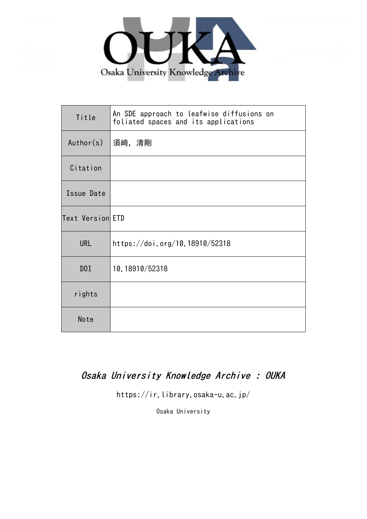

| Title            | An SDE approach to leafwise diffusions on<br>foliated spaces and its applications |
|------------------|-----------------------------------------------------------------------------------|
| Author(s)        | 須﨑,清剛                                                                             |
| Citation         |                                                                                   |
| Issue Date       |                                                                                   |
| Text Version ETD |                                                                                   |
| <b>URL</b>       | https://doi.org/10.18910/52318                                                    |
| D0I              | 10.18910/52318                                                                    |
| rights           |                                                                                   |
| Note             |                                                                                   |

# Osaka University Knowledge Archive : OUKA

https://ir.library.osaka-u.ac.jp/

Osaka University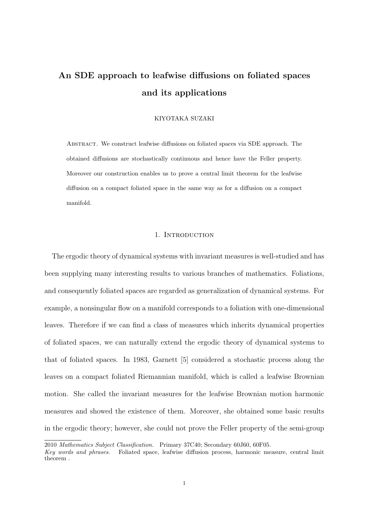# **An SDE approach to leafwise diffusions on foliated spaces and its applications**

# KIYOTAKA SUZAKI

Abstract. We construct leafwise diffusions on foliated spaces via SDE approach. The obtained diffusions are stochastically continuous and hence have the Feller property. Moreover our construction enables us to prove a central limit theorem for the leafwise diffusion on a compact foliated space in the same way as for a diffusion on a compact manifold.

# 1. INTRODUCTION

The ergodic theory of dynamical systems with invariant measures is well-studied and has been supplying many interesting results to various branches of mathematics. Foliations, and consequently foliated spaces are regarded as generalization of dynamical systems. For example, a nonsingular flow on a manifold corresponds to a foliation with one-dimensional leaves. Therefore if we can find a class of measures which inherits dynamical properties of foliated spaces, we can naturally extend the ergodic theory of dynamical systems to that of foliated spaces. In 1983, Garnett [5] considered a stochastic process along the leaves on a compact foliated Riemannian manifold, which is called a leafwise Brownian motion. She called the invariant measures for the leafwise Brownian motion harmonic measures and showed the existence of them. Moreover, she obtained some basic results in the ergodic theory; however, she could not prove the Feller property of the semi-group

<sup>2010</sup> *Mathematics Subject Classification.* Primary 37C40; Secondary 60J60, 60F05.

*Key words and phrases.* Foliated space, leafwise diffusion process, harmonic measure, central limit theorem .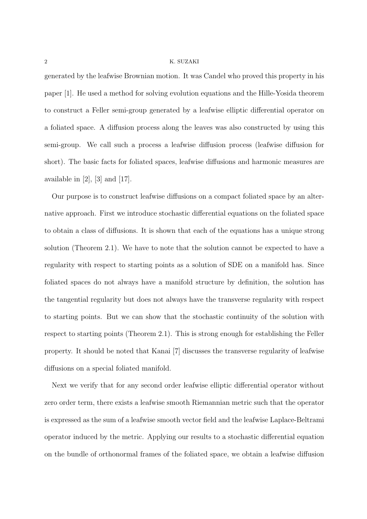#### 2 K. SUZAKI

generated by the leafwise Brownian motion. It was Candel who proved this property in his paper [1]. He used a method for solving evolution equations and the Hille-Yosida theorem to construct a Feller semi-group generated by a leafwise elliptic differential operator on a foliated space. A diffusion process along the leaves was also constructed by using this semi-group. We call such a process a leafwise diffusion process (leafwise diffusion for short). The basic facts for foliated spaces, leafwise diffusions and harmonic measures are available in  $[2]$ ,  $[3]$  and  $[17]$ .

Our purpose is to construct leafwise diffusions on a compact foliated space by an alternative approach. First we introduce stochastic differential equations on the foliated space to obtain a class of diffusions. It is shown that each of the equations has a unique strong solution (Theorem 2*.*1). We have to note that the solution cannot be expected to have a regularity with respect to starting points as a solution of SDE on a manifold has. Since foliated spaces do not always have a manifold structure by definition, the solution has the tangential regularity but does not always have the transverse regularity with respect to starting points. But we can show that the stochastic continuity of the solution with respect to starting points (Theorem 2*.*1). This is strong enough for establishing the Feller property. It should be noted that Kanai [7] discusses the transverse regularity of leafwise diffusions on a special foliated manifold.

Next we verify that for any second order leafwise elliptic differential operator without zero order term, there exists a leafwise smooth Riemannian metric such that the operator is expressed as the sum of a leafwise smooth vector field and the leafwise Laplace-Beltrami operator induced by the metric. Applying our results to a stochastic differential equation on the bundle of orthonormal frames of the foliated space, we obtain a leafwise diffusion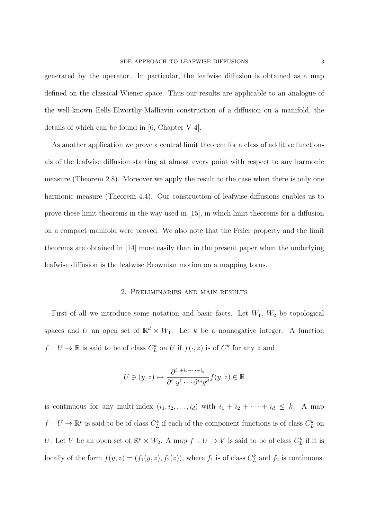generated by the operator. In particular, the leafwise diffusion is obtained as a map defined on the classical Wiener space. Thus our results are applicable to an analogue of the well-known Eells-Elworthy-Malliavin construction of a diffusion on a manifold, the details of which can be found in [6, Chapter V-4].

As another application we prove a central limit theorem for a class of additive functionals of the leafwise diffusion starting at almost every point with respect to any harmonic measure (Theorem 2*.*8). Moreover we apply the result to the case when there is only one harmonic measure (Theorem 4*.*4). Our construction of leafwise diffusions enables us to prove these limit theorems in the way used in [15], in which limit theorems for a diffusion on a compact manifold were proved. We also note that the Feller property and the limit theorems are obtained in [14] more easily than in the present paper when the underlying leafwise diffusion is the leafwise Brownian motion on a mapping torus.

## 2. Preliminaries and main results

First of all we introduce some notation and basic facts. Let  $W_1$ ,  $W_2$  be topological spaces and *U* an open set of  $\mathbb{R}^d \times W_1$ . Let *k* be a nonnegative integer. A function  $f: U \to \mathbb{R}$  is said to be of class  $C_L^k$  on *U* if  $f(\cdot, z)$  is of  $C^k$  for any *z* and

$$
U \ni (y, z) \mapsto \frac{\partial^{i_1+i_2+\dots+i_d}}{\partial^{i_1} y^1 \dots \partial^{i_d} y^d} f(y, z) \in \mathbb{R}
$$

is continuous for any multi-index  $(i_1, i_2, \ldots, i_d)$  with  $i_1 + i_2 + \cdots + i_d \leq k$ . A map  $f: U \to \mathbb{R}^p$  is said to be of class  $C^k_L$  if each of the component functions is of class  $C^k_L$  on *U*. Let *V* be an open set of  $\mathbb{R}^p \times W_2$ . A map  $f: U \to V$  is said to be of class  $C_L^k$  if it is locally of the form  $f(y, z) = (f_1(y, z), f_2(z))$ , where  $f_1$  is of class  $C_L^k$  and  $f_2$  is continuous.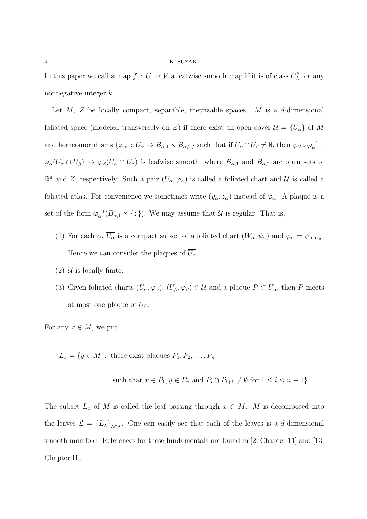#### 4 K. SUZAKI

In this paper we call a map  $f: U \to V$  a leafwise smooth map if it is of class  $C_L^k$  for any nonnegative integer *k*.

Let *M*, *Z* be locally compact, separable, metrizable spaces. *M* is a *d*-dimensional foliated space (modeled transversely on *Z*) if there exist an open cover  $\mathcal{U} = \{U_{\alpha}\}\$  of *M* and homeomorphisms  $\{\varphi_{\alpha}: U_{\alpha}\to B_{\alpha,1}\times B_{\alpha,2}\}\$  such that if  $U_{\alpha}\cap U_{\beta}\neq\emptyset$ , then  $\varphi_{\beta}\circ\varphi_{\alpha}^{-1}$ :  $\varphi_{\alpha}(U_{\alpha} \cap U_{\beta}) \to \varphi_{\beta}(U_{\alpha} \cap U_{\beta})$  is leafwise smooth, where  $B_{\alpha,1}$  and  $B_{\alpha,2}$  are open sets of  $\mathbb{R}^d$  and *Z*, respectively. Such a pair  $(U_\alpha, \varphi_\alpha)$  is called a foliated chart and *U* is called a foliated atlas. For convenience we sometimes write  $(y_{\alpha}, z_{\alpha})$  instead of  $\varphi_{\alpha}$ . A plaque is a set of the form  $\varphi_{\alpha}^{-1}(B_{\alpha,1} \times \{z\})$ . We may assume that *U* is regular. That is,

- (1) For each  $\alpha$ ,  $U_{\alpha}$  is a compact subset of a foliated chart  $(W_{\alpha}, \psi_{\alpha})$  and  $\varphi_{\alpha} = \psi_{\alpha}|_{U_{\alpha}}$ . Hence we can consider the plaques of  $\overline{U_{\alpha}}$ .
- (2)  $U$  is locally finite.
- (3) Given foliated charts  $(U_{\alpha}, \varphi_{\alpha})$ ,  $(U_{\beta}, \varphi_{\beta}) \in \mathcal{U}$  and a plaque  $P \subset U_{\alpha}$ , then P meets at most one plaque of  $\overline{U_{\beta}}$ .

For any  $x \in M$ , we put

 $L_x = \{y \in M : \text{there exist plaques } P_1, P_2, \ldots, P_n\}$ 

such that  $x \in P_1, y \in P_n$  and  $P_i \cap P_{i+1} \neq \emptyset$  for  $1 \leq i \leq n-1$ }.

The subset  $L_x$  of  $M$  is called the leaf passing through  $x \in M$ .  $M$  is decomposed into the leaves  $\mathcal{L} = \{L_{\lambda}\}_{\lambda \in \Lambda}$ . One can easily see that each of the leaves is a *d*-dimensional smooth manifold. References for these fundamentals are found in [2, Chapter 11] and [13, Chapter II].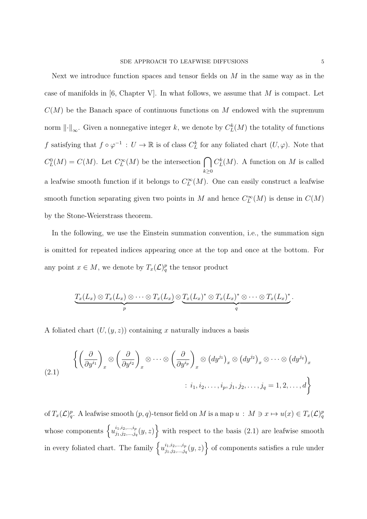Next we introduce function spaces and tensor fields on *M* in the same way as in the case of manifolds in [6, Chapter V]. In what follows, we assume that *M* is compact. Let  $C(M)$  be the Banach space of continuous functions on M endowed with the supremum norm  $\lVert \cdot \rVert_{\infty}$ . Given a nonnegative integer *k*, we denote by  $C^k_L(M)$  the totality of functions *f* satisfying that  $f \circ \varphi^{-1} : U \to \mathbb{R}$  is of class  $C_L^k$  for any foliated chart  $(U, \varphi)$ . Note that  $C_{L}^{0}(M) = C(M)$ . Let  $C_{L}^{\infty}(M)$  be the intersection ∩ *k≥*0  $C^k_L(M)$ . A function on *M* is called a leafwise smooth function if it belongs to  $C^{\infty}_L(M)$ . One can easily construct a leafwise smooth function separating given two points in *M* and hence  $C^{\infty}_L(M)$  is dense in  $C(M)$ by the Stone-Weierstrass theorem.

In the following, we use the Einstein summation convention, i.e., the summation sign is omitted for repeated indices appearing once at the top and once at the bottom. For any point  $x \in M$ , we denote by  $T_x(\mathcal{L})_q^p$  the tensor product

$$
\underbrace{T_x(L_x) \otimes T_x(L_x) \otimes \cdots \otimes T_x(L_x)}_{p} \otimes \underbrace{T_x(L_x)^* \otimes T_x(L_x)^* \otimes \cdots \otimes T_x(L_x)^*}_{q}.
$$

A foliated chart  $(U, (y, z))$  containing x naturally induces a basis

(2.1) 
$$
\left\{ \left( \frac{\partial}{\partial y^{i_1}} \right)_x \otimes \left( \frac{\partial}{\partial y^{i_2}} \right)_x \otimes \cdots \otimes \left( \frac{\partial}{\partial y^{i_p}} \right)_x \otimes (dy^{j_1})_x \otimes (dy^{j_2})_x \otimes \cdots \otimes (dy^{j_q})_x \right\}
$$

$$
: i_1, i_2, \ldots, i_p, j_1, j_2, \ldots, j_q = 1, 2, \ldots, d \right\}
$$

of  $T_x(\mathcal{L})_q^p$ . A leafwise smooth  $(p, q)$ -tensor field on M is a map  $u : M \ni x \mapsto u(x) \in T_x(\mathcal{L})_q^p$ whose components  $\left\{ u_{i_1,i_2,\dots,i_p}^{i_1,i_2,\dots,i_p} \right\}$  $\left\{ \begin{array}{c} i_1, i_2, ..., i_p \ i_1, j_2, ..., j_q \ (y, z) \end{array} \right\}$  with respect to the basis  $(2.1)$  are leafwise smooth in every foliated chart. The family  $\left\{ u_{i_1,i_2,\dots,i_p}^{i_1,i_2,\dots,i_p} \right\}$  $\left\{ \begin{array}{c} i_1, i_2, ..., i_p \ j_1, j_2, ..., j_q \ (y, z) \end{array} \right\}$  of components satisfies a rule under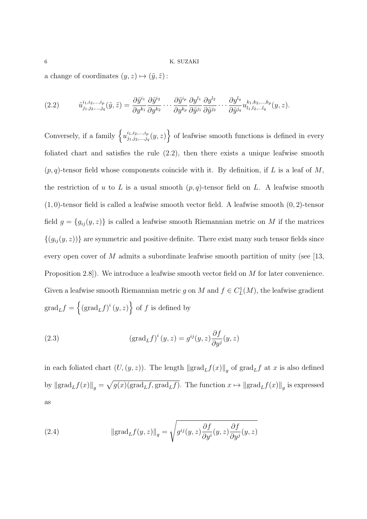a change of coordinates  $(y, z) \mapsto (\tilde{y}, \tilde{z})$ :

$$
(2.2) \qquad \tilde{u}_{j_1,j_2,\dots,j_q}^{i_1,i_2,\dots,i_p}(\tilde{y},\tilde{z})=\frac{\partial \tilde{y}^{i_1}}{\partial y^{k_1}}\frac{\partial \tilde{y}^{i_2}}{\partial y^{k_2}}\cdots\frac{\partial \tilde{y}^{i_p}}{\partial y^{k_p}}\frac{\partial y^{l_1}}{\partial \tilde{y}^{j_1}}\frac{\partial y^{l_2}}{\partial \tilde{y}^{j_2}}\cdots\frac{\partial y^{l_q}}{\partial \tilde{y}^{j_q}}u_{l_1,l_2,\dots,l_q}^{k_1,k_2,\dots,k_p}(y,z).
$$

Conversely, if a family  $\left\{ u_{i_1, i_2, \dots, i_p}^{i_1, i_2, \dots, i_p} \right\}$  $\left\{ \begin{array}{c} i_1, i_2, ..., i_p \ i_1, j_2, ..., j_q \ (y, z) \end{array} \right\}$  of leafwise smooth functions is defined in every foliated chart and satisfies the rule (2*.*2), then there exists a unique leafwise smooth  $(p, q)$ -tensor field whose components coincide with it. By definition, if *L* is a leaf of *M*, the restriction of  $u$  to  $L$  is a usual smooth  $(p, q)$ -tensor field on  $L$ . A leafwise smooth (1*,* 0)-tensor field is called a leafwise smooth vector field. A leafwise smooth (0*,* 2)-tensor field  $g = \{g_{ij}(y, z)\}\$ is called a leafwise smooth Riemannian metric on *M* if the matrices  ${(g_{ij}(y, z))}$  are symmetric and positive definite. There exist many such tensor fields since every open cover of *M* admits a subordinate leafwise smooth partition of unity (see [13, Proposition 2*.*8]). We introduce a leafwise smooth vector field on *M* for later convenience. Given a leafwise smooth Riemannian metric *g* on *M* and  $f \in C^1_L(M)$ , the leafwise gradient  $\operatorname{grad}_Lf = \left\{ (\operatorname{grad}_Lf)^i(y,z) \right\}$  of *f* is defined by

(2.3) 
$$
(\text{grad}_{L} f)^{i} (y, z) = g^{ij} (y, z) \frac{\partial f}{\partial y^{j}} (y, z)
$$

in each foliated chart  $(U,(y,z))$ . The length  $\left\|\text{grad}_L f(x)\right\|_g$  of  $\text{grad}_L f$  at *x* is also defined by  $\|\text{grad}_L f(x)\|_g = \sqrt{g(x)(\text{grad}_L f, \text{grad}_L f)}$ . The function  $x \mapsto \|\text{grad}_L f(x)\|_g$  is expressed as

(2.4) 
$$
\|\text{grad}_L f(y, z)\|_g = \sqrt{g^{ij}(y, z) \frac{\partial f}{\partial y^i}(y, z) \frac{\partial f}{\partial y^j}(y, z)}
$$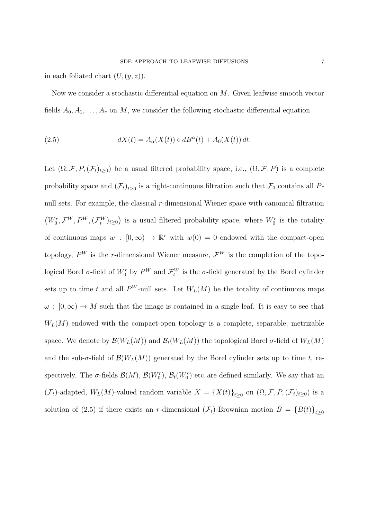in each foliated chart  $(U, (y, z))$ .

Now we consider a stochastic differential equation on *M*. Given leafwise smooth vector fields  $A_0, A_1, \ldots, A_r$  on M, we consider the following stochastic differential equation

(2.5) 
$$
dX(t) = A_{\alpha}(X(t)) \circ dB^{\alpha}(t) + A_0(X(t)) dt.
$$

Let  $(\Omega, \mathcal{F}, P, (\mathcal{F}_t)_{t\geq 0})$  be a usual filtered probability space, i.e.,  $(\Omega, \mathcal{F}, P)$  is a complete probability space and  $(\mathcal{F}_t)_{t\geq 0}$  is a right-continuous filtration such that  $\mathcal{F}_0$  contains all *P*null sets. For example, the classical *r*-dimensional Wiener space with canonical filtration  $(W_0^r, \mathcal{F}^W, P^W, (\mathcal{F}_t^W)_{t\geq 0})$  is a usual filtered probability space, where  $W_0^r$  is the totality of continuous maps  $w : [0, \infty) \to \mathbb{R}^r$  with  $w(0) = 0$  endowed with the compact-open topology,  $P^W$  is the *r*-dimensional Wiener measure,  $\mathcal{F}^W$  is the completion of the topological Borel  $\sigma$ -field of  $W^r_0$  by  $P^W$  and  $\mathcal{F}^W_t$  is the  $\sigma$ -field generated by the Borel cylinder sets up to time *t* and all  $P^W$ -null sets. Let  $W_L(M)$  be the totality of continuous maps  $\omega : [0, \infty) \to M$  such that the image is contained in a single leaf. It is easy to see that  $W_L(M)$  endowed with the compact-open topology is a complete, separable, metrizable space. We denote by  $\mathcal{B}(W_L(M))$  and  $\mathcal{B}_t(W_L(M))$  the topological Borel  $\sigma$ -field of  $W_L(M)$ and the sub- $\sigma$ -field of  $\mathcal{B}(W_L(M))$  generated by the Borel cylinder sets up to time t, respectively. The  $\sigma$ -fields  $\mathcal{B}(M)$ ,  $\mathcal{B}(W_0^r)$ ,  $\mathcal{B}_t(W_0^r)$  etc. are defined similarly. We say that an  $(\mathcal{F}_t)$ -adapted,  $W_L(M)$ -valued random variable  $X = \{X(t)\}_{t \geq 0}$  on  $(\Omega, \mathcal{F}, P, (\mathcal{F}_t)_{t \geq 0})$  is a solution of (2.5) if there exists an *r*-dimensional  $(\mathcal{F}_t)$ -Brownian motion  $B = {B(t)}_{t\geq0}$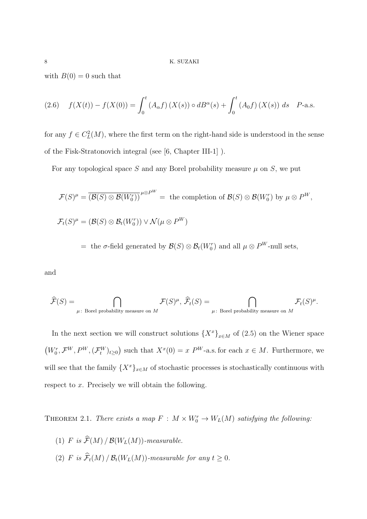with  $B(0) = 0$  such that

(2.6) 
$$
f(X(t)) - f(X(0)) = \int_0^t (A_\alpha f)(X(s)) \circ dB^\alpha(s) + \int_0^t (A_0 f)(X(s)) ds \quad P\text{-a.s.}
$$

for any  $f \in C^2_L(M)$ , where the first term on the right-hand side is understood in the sense of the Fisk-Stratonovich integral (see [6, Chapter III-1] ).

For any topological space *S* and any Borel probability measure  $\mu$  on *S*, we put

$$
\mathcal{F}(S)^{\mu} = \overline{(\mathcal{B}(S) \otimes \mathcal{B}(W_0^r))}^{\mu \otimes P^W} = \text{ the completion of } \mathcal{B}(S) \otimes \mathcal{B}(W_0^r) \text{ by } \mu \otimes P^W,
$$
  

$$
\mathcal{F}_t(S)^{\mu} = (\mathcal{B}(S) \otimes \mathcal{B}_t(W_0^r)) \vee \mathcal{N}(\mu \otimes P^W)
$$

 $=$  the  $\sigma$ -field generated by  $\mathcal{B}(S) \otimes \mathcal{B}_t(W_0^r)$  and all  $\mu \otimes P^W$ -null sets,

and

$$
\widehat{\mathcal{F}}(S) = \bigcap_{\mu \colon \text{ Borel probability measure on } M} \mathcal{F}(S)^{\mu}, \ \widehat{\mathcal{F}}_t(S) = \bigcap_{\mu \colon \text{ Borel probability measure on } M} \mathcal{F}_t(S)^{\mu}.
$$

In the next section we will construct solutions  ${X^x}_{x \in M}$  of (2.5) on the Wiener space  $(W_0^r, \mathcal{F}^W, P^W, (\mathcal{F}_t^W)_{t\geq 0})$  such that  $X^x(0) = x P^W$ -a.s. for each  $x \in M$ . Furthermore, we will see that the family  $\{X^x\}_{x \in M}$  of stochastic processes is stochastically continuous with respect to *x*. Precisely we will obtain the following.

THEOREM 2.1. *There exists a map*  $F : M \times W_0^r \to W_L(M)$  *satisfying the following:* 

(1) *F* is  $\widehat{\mathcal{F}}(M)$  */*  $\mathcal{B}(W_L(M))$ *-measurable.* (2) *F is*  $\hat{\mathcal{F}}_t(M)$  /  $\mathcal{B}_t(W_L(M))$ *-measurable for any*  $t \geq 0$ *.*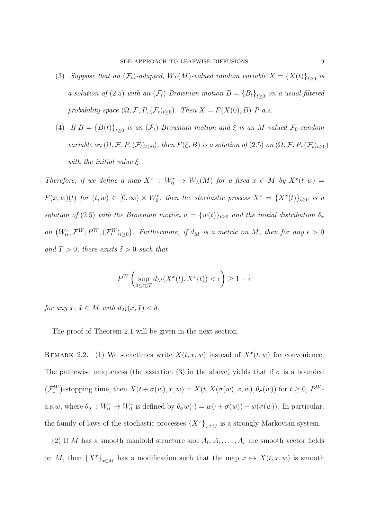- (3) *Suppose that an*  $(\mathcal{F}_t)$ -adapted,  $W_L(M)$ -valued random variable  $X = \{X(t)\}_{t \geq 0}$  is *a solution of* (2.5) *with an*  $(\mathcal{F}_t)$ -Brownian motion  $B = \{B_t\}_{t \geq 0}$  on a usual filtered *probability space*  $(\Omega, \mathcal{F}, P, (\mathcal{F}_t)_{t \geq 0})$ *. Then*  $X = F(X(0), B)$  *P-a.s.*
- (4) *If*  $B = {B(t)}_{t\geq0}$  *is an* ( $\mathcal{F}_t$ )*-Brownian motion and*  $\xi$  *is an M-valued*  $\mathcal{F}_0$ *-random* variable on  $(\Omega, \mathcal{F}, P, (\mathcal{F}_t)_{t\geq 0})$ , then  $F(\xi, B)$  is a solution of  $(2.5)$  on  $(\Omega, \mathcal{F}, P, (\mathcal{F}_t)_{t\geq 0})$ *with the initial value ξ.*

*Therefore, if we define a map*  $X^x$  :  $W_0^r \to W_L(M)$  *for a fixed*  $x \in M$  *by*  $X^x(t, w) =$  $F(x, w)(t)$  for  $(t, w) \in [0, \infty) \times W_0^r$ , then the stochastic process  $X^x = \{X^x(t)\}_{t \geq 0}$  is a *solution of* (2.5) *with the Brownian motion*  $w = \{w(t)\}_{t\geq0}$  *and the initial distribution*  $\delta_x$ on  $(W_0^r, \mathcal{F}^W, P^W, (\mathcal{F}_t^W)_{t\geq 0})$ . Furthermore, if  $d_M$  is a metric on M, then for any  $\epsilon > 0$ *and*  $T > 0$ *, there exists*  $\delta > 0$  *such that* 

$$
P^{W}\left(\sup_{0\leq t\leq T}d_{M}(X^{x}(t),X^{\tilde{x}}(t))<\epsilon\right)\geq 1-\epsilon
$$

*for any*  $x, \tilde{x} \in M$  *with*  $d_M(x, \tilde{x}) < \delta$ .

The proof of Theorem 2*.*1 will be given in the next section.

REMARK 2.2. (1) We sometimes write  $X(t, x, w)$  instead of  $X^x(t, w)$  for convenience. The pathewise uniqueness (the assertion (3) in the above) yields that if  $\sigma$  is a bounded  $(\mathcal{F}_t^W)$ -stopping time, then  $X(t + \sigma(w), x, w) = X(t, X(\sigma(w), x, w), \theta_{\sigma}(w))$  for  $t \geq 0$ ,  $P^W$ a.s.w, where  $\theta_{\sigma} : W_0^r \to W_0^r$  is defined by  $\theta_{\sigma}w(\cdot) = w(\cdot + \sigma(w)) - w(\sigma(w))$ . In particular, the family of laws of the stochastic processes  ${X^x}_{x \in M}$  is a strongly Markovian system.

(2) If *M* has a smooth manifold structure and  $A_0, A_1, \ldots, A_r$  are smooth vector fields on *M*, then  ${X^x}_{x \in M}$  has a modification such that the map  $x \mapsto X(t, x, w)$  is smooth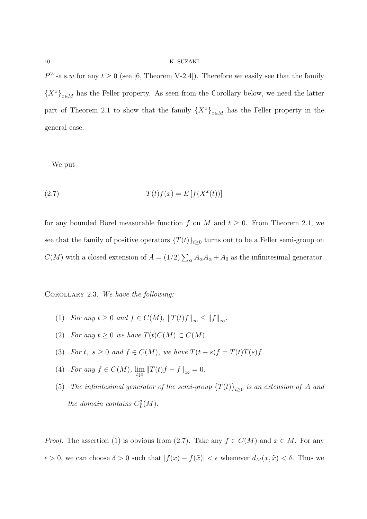#### 10 K. SUZAKI

 $P^{W}$ -a.s.*w* for any  $t \geq 0$  (see [6, Theorem V-2.4]). Therefore we easily see that the family  ${X^x}_{x \in M}$  has the Feller property. As seen from the Corollary below, we need the latter part of Theorem 2.1 to show that the family  ${X^x}_{x \in M}$  has the Feller property in the general case.

We put

$$
(2.7) \tT(t)f(x) = E[f(X^x(t))]
$$

for any bounded Borel measurable function  $f$  on  $M$  and  $t \geq 0$ . From Theorem 2.1, we see that the family of positive operators  $\{T(t)\}_{t\geq 0}$  turns out to be a Feller semi-group on *C*(*M*) with a closed extension of  $A = (1/2) \sum_{\alpha} A_{\alpha} A_{\alpha} + A_0$  as the infinitesimal generator.

Corollary 2.3. *We have the following:*

- (1) *For any*  $t \ge 0$  *and*  $f \in C(M)$ ,  $||T(t)f||_{\infty} \le ||f||_{\infty}$ .
- (2) *For any*  $t \geq 0$  *we have*  $T(t)C(M) \subset C(M)$ *.*
- (3) *For*  $t, s \ge 0$  *and*  $f \in C(M)$ *, we have*  $T(t+s)f = T(t)T(s)f$ *.*
- (4) *For any*  $f \in C(M)$ ,  $\lim_{t \downarrow 0} ||T(t)f f||_{\infty} = 0$ .
- (5) *The infinitesimal generator of the semi-group*  $\{T(t)\}_{t\geq0}$  *is an extension of A and the domain contains*  $C_{L}^{2}(M)$ *.*

*Proof.* The assertion (1) is obvious from (2.7). Take any  $f \in C(M)$  and  $x \in M$ . For any  $\epsilon > 0$ , we can choose  $\delta > 0$  such that  $|f(x) - f(\tilde{x})| < \epsilon$  whenever  $d_M(x, \tilde{x}) < \delta$ . Thus we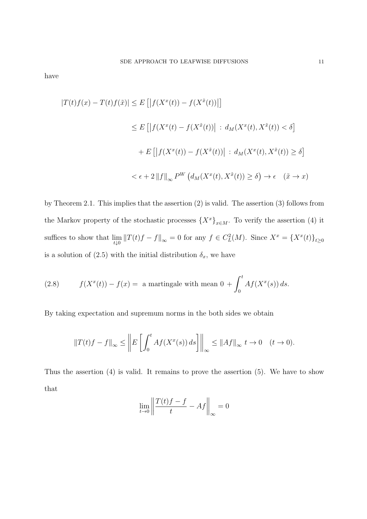have

$$
|T(t)f(x) - T(t)f(\tilde{x})| \le E\left[ \left| f(X^x(t)) - f(X^{\tilde{x}}(t)) \right| \right]
$$
  
\n
$$
\le E\left[ \left| f(X^x(t) - f(X^{\tilde{x}}(t)) \right| : d_M(X^x(t), X^{\tilde{x}}(t)) < \delta \right]
$$
  
\n
$$
+ E\left[ \left| f(X^x(t)) - f(X^{\tilde{x}}(t)) \right| : d_M(X^x(t), X^{\tilde{x}}(t)) \ge \delta \right]
$$
  
\n
$$
< \epsilon + 2 \left\| f \right\|_{\infty} P^W \left( d_M(X^x(t), X^{\tilde{x}}(t)) \ge \delta \right) \to \epsilon \quad (\tilde{x} \to x)
$$

by Theorem 2*.*1. This implies that the assertion (2) is valid. The assertion (3) follows from the Markov property of the stochastic processes  $\{X^x\}_{x \in M}$ . To verify the assertion (4) it suffices to show that  $\lim_{t\downarrow 0} ||T(t)f - f||_{\infty} = 0$  for any  $f \in C_{L}^{2}(M)$ . Since  $X^{x} = \{X^{x}(t)\}_{t\geq 0}$ is a solution of (2.5) with the initial distribution  $\delta_x$ , we have

(2.8) 
$$
f(X^x(t)) - f(x) = \text{ a martingale with mean } 0 + \int_0^t Af(X^x(s)) ds.
$$

By taking expectation and supremum norms in the both sides we obtain

$$
\left\|T(t)f - f\right\|_{\infty} \le \left\|E\left[\int_0^t Af(X^x(s))\,ds\right]\right\|_{\infty} \le \|Af\|_{\infty} \ t \to 0 \quad (t \to 0).
$$

Thus the assertion (4) is valid. It remains to prove the assertion (5). We have to show that

$$
\lim_{t\to 0}\left\|\frac{T(t)f-f}{t}-Af\right\|_{\infty}=0
$$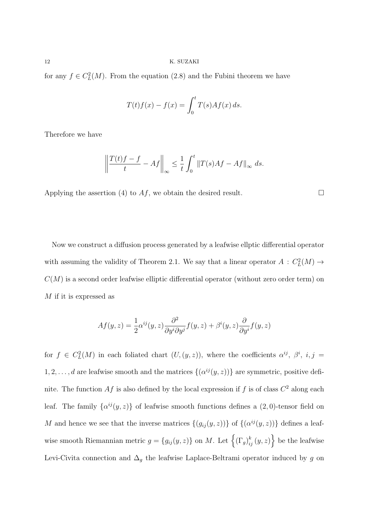for any  $f \in C^2_L(M)$ . From the equation (2.8) and the Fubini theorem we have

$$
T(t)f(x) - f(x) = \int_0^t T(s)Af(x) ds.
$$

Therefore we have

$$
\left\| \frac{T(t)f - f}{t} - Af \right\|_{\infty} \le \frac{1}{t} \int_0^t \|T(s)Af - Af\|_{\infty} ds.
$$

Applying the assertion (4) to  $Af$ , we obtain the desired result.  $\Box$ 

Now we construct a diffusion process generated by a leafwise ellptic differential operator with assuming the validity of Theorem 2.1. We say that a linear operator  $A: C<sub>L</sub><sup>2</sup>(M) \rightarrow$  $C(M)$  is a second order leafwise elliptic differential operator (without zero order term) on *M* if it is expressed as

$$
Af(y, z) = \frac{1}{2} \alpha^{ij}(y, z) \frac{\partial^2}{\partial y^i \partial y^j} f(y, z) + \beta^i(y, z) \frac{\partial}{\partial y^i} f(y, z)
$$

for  $f \in C^2_L(M)$  in each foliated chart  $(U,(y,z))$ , where the coefficients  $\alpha^{ij}, \beta^i, i, j =$ 1, 2, . . . , d are leafwise smooth and the matrices  $\{(\alpha^{ij}(y, z))\}$  are symmetric, positive definite. The function  $Af$  is also defined by the local expression if  $f$  is of class  $C^2$  along each leaf. The family  $\{\alpha^{ij}(y, z)\}\$  of leafwise smooth functions defines a  $(2, 0)$ -tensor field on *M* and hence we see that the inverse matrices  $\{(g_{ij}(y, z))\}$  of  $\{(\alpha^{ij}(y, z))\}$  defines a leafwise smooth Riemannian metric  $g = \{g_{ij}(y, z)\}\$  on *M*. Let  $\left\{ (\Gamma_g)_{ij}^k (y, z) \right\}$  be the leafwise Levi-Civita connection and  $\Delta_g$  the leafwise Laplace-Beltrami operator induced by  $g$  on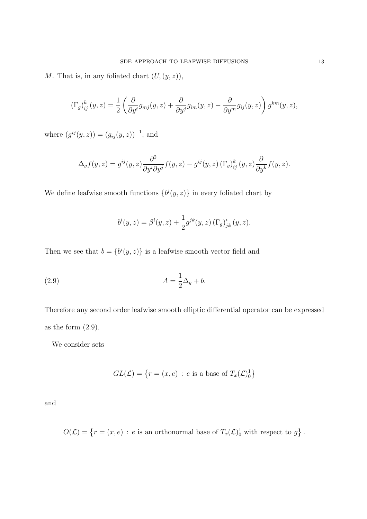*M*. That is, in any foliated chart  $(U, (y, z))$ ,

$$
\left(\Gamma_g\right)_{ij}^k(y,z) = \frac{1}{2} \left( \frac{\partial}{\partial y^i} g_{mj}(y,z) + \frac{\partial}{\partial y^j} g_{im}(y,z) - \frac{\partial}{\partial y^m} g_{ij}(y,z) \right) g^{km}(y,z),
$$

where  $(g^{ij}(y, z)) = (g_{ij}(y, z))^{-1}$ , and

$$
\Delta_g f(y, z) = g^{ij}(y, z) \frac{\partial^2}{\partial y^i \partial y^j} f(y, z) - g^{ij}(y, z) \left(\Gamma_g\right)_{ij}^k (y, z) \frac{\partial}{\partial y^k} f(y, z).
$$

We define leafwise smooth functions  ${b^{i}(y, z)}$  in every foliated chart by

$$
b^{i}(y, z) = \beta^{i}(y, z) + \frac{1}{2}g^{jk}(y, z) (\Gamma_{g})_{jk}^{i}(y, z).
$$

Then we see that  $b = \{b^i(y, z)\}\$ is a leafwise smooth vector field and

(2.9) 
$$
A = \frac{1}{2}\Delta_g + b.
$$

Therefore any second order leafwise smooth elliptic differential operator can be expressed as the form (2*.*9).

We consider sets

$$
GL(\mathcal{L}) = \left\{ r = (x, e) : e \text{ is a base of } T_x(\mathcal{L})_0^1 \right\}
$$

and

 $O(\mathcal{L}) = \{r = (x, e) : e \text{ is an orthonormal base of } T_x(\mathcal{L})\}^1$  with respect to  $g\}$ .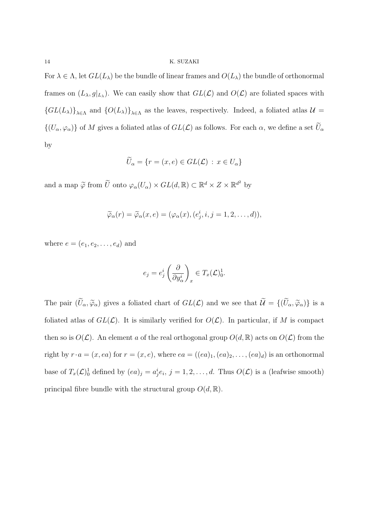For  $\lambda \in \Lambda$ , let  $GL(L_\lambda)$  be the bundle of linear frames and  $O(L_\lambda)$  the bundle of orthonormal frames on  $(L_{\lambda}, g|_{L_{\lambda}})$ . We can easily show that  $GL(\mathcal{L})$  and  $O(\mathcal{L})$  are foliated spaces with  ${GL(L_\lambda)}_{\lambda \in \Lambda}$  and  ${O(L_\lambda)}_{\lambda \in \Lambda}$  as the leaves, respectively. Indeed, a foliated atlas  $\mathcal{U} =$  $\{ (U_{\alpha}, \varphi_{\alpha}) \}$  of *M* gives a foliated atlas of  $GL(\mathcal{L})$  as follows. For each  $\alpha$ , we define a set  $\widetilde{U}_{\alpha}$ by

$$
\widetilde{U}_{\alpha} = \{r = (x, e) \in GL(\mathcal{L}) \,:\, x \in U_{\alpha}\}\
$$

and a map  $\widetilde{\varphi}$  from  $\widetilde{U}$  onto  $\varphi_{\alpha}(U_{\alpha}) \times GL(d, \mathbb{R}) \subset \mathbb{R}^{d} \times Z \times \mathbb{R}^{d^2}$  by

$$
\widetilde{\varphi}_{\alpha}(r) = \widetilde{\varphi}_{\alpha}(x, e) = (\varphi_{\alpha}(x), (e_j^i, i, j = 1, 2, \dots, d)),
$$

where  $e = (e_1, e_2, \ldots, e_d)$  and

$$
e_j = e_j^i \left(\frac{\partial}{\partial y_\alpha^i}\right)_x \in T_x(\mathcal{L})_0^1.
$$

The pair  $(\widetilde{U}_{\alpha}, \widetilde{\varphi}_{\alpha})$  gives a foliated chart of  $GL(\mathcal{L})$  and we see that  $\widetilde{\mathcal{U}} = \{(\widetilde{U}_{\alpha}, \widetilde{\varphi}_{\alpha})\}$  is a foliated atlas of  $GL(\mathcal{L})$ . It is similarly verified for  $O(\mathcal{L})$ . In particular, if M is compact then so is  $O(\mathcal{L})$ . An element *a* of the real orthogonal group  $O(d, \mathbb{R})$  acts on  $O(\mathcal{L})$  from the right by  $r \cdot a = (x, ea)$  for  $r = (x, e)$ , where  $ea = ((ea)_1, (ea)_2, \ldots, (ea)_d)$  is an orthonormal base of  $T_x(\mathcal{L})_0^1$  defined by  $(ea)_j = a_j^i e_i$ ,  $j = 1, 2, \ldots, d$ . Thus  $O(\mathcal{L})$  is a (leafwise smooth) principal fibre bundle with the structural group  $O(d, \mathbb{R})$ .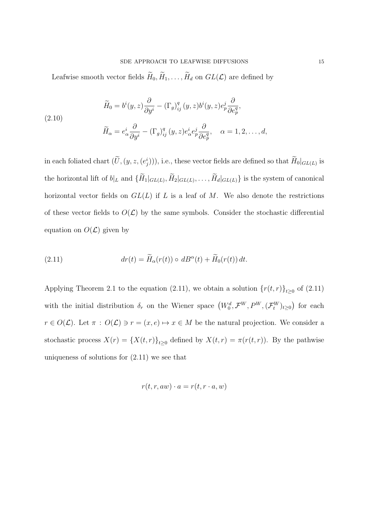Leafwise smooth vector fields  $\widetilde{H}_0, \widetilde{H}_1, \ldots, \widetilde{H}_d$  on  $GL(\mathcal{L})$  are defined by

(2.10)  
\n
$$
\widetilde{H}_0 = b^i(y, z) \frac{\partial}{\partial y^i} - (\Gamma_g)_{ij}^q (y, z) b^i(y, z) e_p^j \frac{\partial}{\partial e_p^q},
$$
\n
$$
\widetilde{H}_\alpha = e_\alpha^i \frac{\partial}{\partial y^i} - (\Gamma_g)_{ij}^q (y, z) e_\alpha^i e_p^j \frac{\partial}{\partial e_p^q}, \quad \alpha = 1, 2, \dots, d,
$$

in each foliated chart  $(\tilde{U}, (y, z, (e_j^i))),$  i.e., these vector fields are defined so that  $H_0|_{GL(L)}$  is the horizontal lift of  $b|_L$  and  $\{H_1|_{GL(L)}, H_2|_{GL(L)}, \ldots, H_d|_{GL(L)}\}$  is the system of canonical horizontal vector fields on  $GL(L)$  if  $L$  is a leaf of  $M$ . We also denote the restrictions of these vector fields to  $O(\mathcal{L})$  by the same symbols. Consider the stochastic differential equation on  $O(\mathcal{L})$  given by

(2.11) 
$$
dr(t) = \widetilde{H}_{\alpha}(r(t)) \circ dB^{\alpha}(t) + \widetilde{H}_{0}(r(t)) dt.
$$

Applying Theorem 2.1 to the equation (2.11), we obtain a solution  $\{r(t,r)\}_{t\geq0}$  of (2.11) with the initial distribution  $\delta_r$  on the Wiener space  $(W_0^d, \mathcal{F}^W, P^W, (\mathcal{F}_t^W)_{t \geq 0})$  for each *r*  $\in$  *O*( $\mathcal{L}$ ). Let  $\pi$  : *O*( $\mathcal{L}$ )  $\ni$  *r* = (*x, e*)  $\mapsto$  *x*  $\in$  *M* be the natural projection. We consider a stochastic process  $X(r) = \{X(t,r)\}_{t\geq 0}$  defined by  $X(t,r) = \pi(r(t,r))$ . By the pathwise uniqueness of solutions for (2*.*11) we see that

$$
r(t, r, aw) \cdot a = r(t, r \cdot a, w)
$$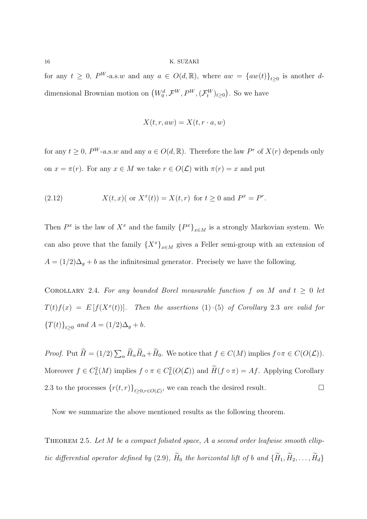for any  $t \geq 0$ ,  $P^W$ -a.s.*w* and any  $a \in O(d, \mathbb{R})$ , where  $aw = \{aw(t)\}_{t \geq 0}$  is another *d*dimensional Brownian motion on  $(W_0^d, \mathcal{F}^W, P^W, (\mathcal{F}_t^W)_{t \geq 0})$ . So we have

$$
X(t, r, aw) = X(t, r \cdot a, w)
$$

for any  $t \geq 0$ ,  $P^W$ -a.s. *w* and any  $a \in O(d, \mathbb{R})$ . Therefore the law  $P^r$  of  $X(r)$  depends only on  $x = \pi(r)$ . For any  $x \in M$  we take  $r \in O(\mathcal{L})$  with  $\pi(r) = x$  and put

(2.12) 
$$
X(t,x)
$$
 (or  $X^x(t) = X(t,r)$  for  $t \ge 0$  and  $P^x = P^r$ .

Then  $P^x$  is the law of  $X^x$  and the family  $\{P^x\}_{x \in M}$  is a strongly Markovian system. We can also prove that the family  ${X^x}_{x \in M}$  gives a Feller semi-group with an extension of  $A = (1/2)\Delta_g + b$  as the infinitesimal generator. Precisely we have the following.

COROLLARY 2.4. For any bounded Borel measurable function  $f$  on  $M$  and  $t \geq 0$  let  $T(t)f(x) = E[f(X^x(t))]$ *. Then the assertions* (1)–(5) *of Corollary* 2*.*3 *are valid for*  ${T(t)}_{t\geq0}$  and  $A = (1/2)\Delta_g + b$ .

*Proof.* Put  $\widetilde{H} = (1/2) \sum_{\alpha} \widetilde{H}_{\alpha} \widetilde{H}_{\alpha} + \widetilde{H}_{0}$ . We notice that  $f \in C(M)$  implies  $f \circ \pi \in C(O(\mathcal{L}))$ . Moreover  $f \in C^2_L(M)$  implies  $f \circ \pi \in C^2_L(O(\mathcal{L}))$  and  $H(f \circ \pi) = Af$ . Applying Corollary 2.3 to the processes  $\{r(t,r)\}_{t\geq 0,r\in O(\mathcal{L})}$ , we can reach the desired result. □

Now we summarize the above mentioned results as the following theorem.

Theorem 2.5. *Let M be a compact foliated space, A a second order leafwise smooth elliptic differential operator defined by* (2.9)*,*  $\widetilde{H}_0$  *the horizontal lift of b and*  $\{\widetilde{H}_1, \widetilde{H}_2, \ldots, \widetilde{H}_d\}$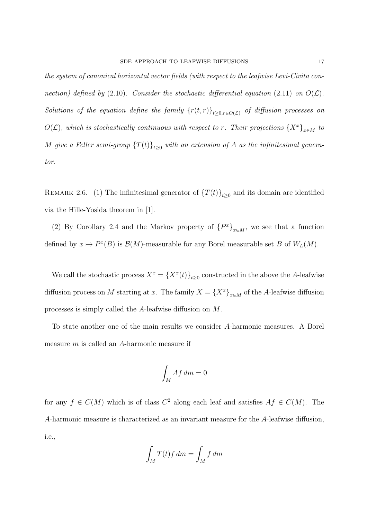*the system of canonical horizontal vector fields (with respect to the leafwise Levi-Civita connection)* defined by  $(2.10)$ *. Consider the stochastic differential equation*  $(2.11)$  *on*  $O(\mathcal{L})$ *. Solutions of the equation define the family*  $\{r(t,r)\}_{t\geq 0,r\in O(\mathcal{L})}$  *of diffusion processes on O*( $\mathcal{L}$ ), which is stochastically continuous with respect to *r.* Their projections  $\{X^x\}_{x \in M}$  to *M* give a Feller semi-group  $\{T(t)\}_{t>0}$  with an extension of A as the infinitesimal genera*tor.*

REMARK 2.6. (1) The infinitesimal generator of  $\{T(t)\}_{t\geq 0}$  and its domain are identified via the Hille-Yosida theorem in [1].

(2) By Corollary 2.4 and the Markov property of  ${P^x}_{x \in M}$ , we see that a function defined by  $x \mapsto P^x(B)$  is  $\mathcal{B}(M)$ -measurable for any Borel measurable set *B* of  $W_L(M)$ .

We call the stochastic process  $X^x = \{X^x(t)\}_{t \geq 0}$  constructed in the above the *A*-leafwise diffusion process on *M* starting at *x*. The family  $X = \{X^x\}_{x \in M}$  of the *A*-leafwise diffusion processes is simply called the *A*-leafwise diffusion on *M*.

To state another one of the main results we consider *A*-harmonic measures. A Borel measure *m* is called an *A*-harmonic measure if

$$
\int_M Af\,dm=0
$$

for any  $f \in C(M)$  which is of class  $C^2$  along each leaf and satisfies  $Af \in C(M)$ . The *A*-harmonic measure is characterized as an invariant measure for the *A*-leafwise diffusion, i.e.,

$$
\int_M T(t)f \, dm = \int_M f \, dm
$$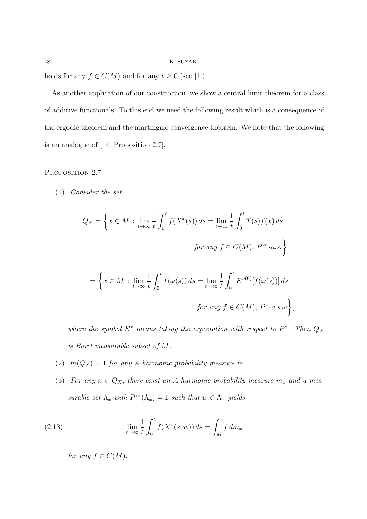holds for any  $f \in C(M)$  and for any  $t \geq 0$  (see [1]).

As another application of our construction, we show a central limit theorem for a class of additive functionals. To this end we need the following result which is a consequence of the ergodic theorem and the martingale convergence theorem. We note that the following is an analogue of [14, Proposition 2*.*7].

PROPOSITION 2.7.

(1) *Consider the set*

$$
Q_X = \left\{ x \in M : \lim_{t \to \infty} \frac{1}{t} \int_0^t f(X^x(s)) ds = \lim_{t \to \infty} \frac{1}{t} \int_0^t T(s) f(x) ds \right\}
$$
  
for any  $f \in C(M)$ ,  $P^{W} \text{-}a.s.$ 
$$
\left\{ x \in M : \lim_{t \to \infty} \frac{1}{t} \int_0^t f(\omega(s)) ds = \lim_{t \to \infty} \frac{1}{t} \int_0^t E^{\omega(0)}[f(\omega(s))] ds \right\}
$$

*where the symbol*  $E^x$  *means taking the expectation with respect to*  $P^x$ *. Then*  $Q_X$ *is Borel measurable subset of M.*

*for any*  $f \in C(M)$ *,*  $P^x$ -a.s. $\omega$ 

*,*

- (2)  $m(Q_X) = 1$  *for any A-harmonic probability measure m.*
- (3) *For any*  $x \in Q_X$ , there exist an *A*-harmonic probability measure  $m_x$  and a mea*surable set*  $\Lambda_x$  *with*  $P^W(\Lambda_x) = 1$  *such that*  $w \in \Lambda_x$  *yields*

(2.13) 
$$
\lim_{t \to \infty} \frac{1}{t} \int_0^t f(X^x(s, w)) ds = \int_M f dm_x
$$

*for any*  $f \in C(M)$ *.*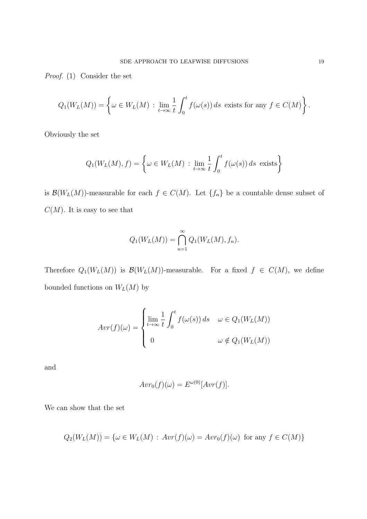*Proof.* (1) Consider the set

$$
Q_1(W_L(M)) = \left\{ \omega \in W_L(M) : \lim_{t \to \infty} \frac{1}{t} \int_0^t f(\omega(s)) ds \text{ exists for any } f \in C(M) \right\}.
$$

Obviously the set

$$
Q_1(W_L(M), f) = \left\{ \omega \in W_L(M) : \lim_{t \to \infty} \frac{1}{t} \int_0^t f(\omega(s)) ds \text{ exists} \right\}
$$

is  $\mathcal{B}(W_L(M))$ -measurable for each  $f \in C(M)$ . Let  $\{f_n\}$  be a countable dense subset of  $C(M)$ . It is easy to see that

$$
Q_1(W_L(M)) = \bigcap_{n=1}^{\infty} Q_1(W_L(M), f_n).
$$

Therefore  $Q_1(W_L(M))$  is  $\mathcal{B}(W_L(M))$ -measurable. For a fixed  $f \in C(M)$ , we define bounded functions on  $W_L(M)$  by

$$
Avr(f)(\omega) = \begin{cases} \lim_{t \to \infty} \frac{1}{t} \int_0^t f(\omega(s)) ds & \omega \in Q_1(W_L(M)) \\ 0 & \omega \notin Q_1(W_L(M)) \end{cases}
$$

and

$$
Avr_0(f)(\omega) = E^{\omega(0)}[Avr(f)].
$$

We can show that the set

$$
Q_2(W_L(M)) = \{ \omega \in W_L(M) : Avr(f)(\omega) = Avr_0(f)(\omega) \text{ for any } f \in C(M) \}
$$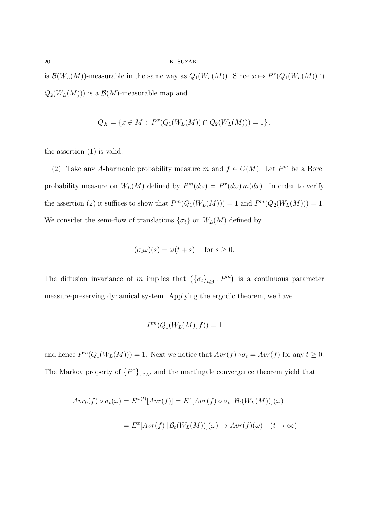is  $\mathcal{B}(W_L(M))$ -measurable in the same way as  $Q_1(W_L(M))$ . Since  $x \mapsto P^x(Q_1(W_L(M)) \cap$  $Q_2(W_L(M)))$  is a  $\mathcal{B}(M)$ -measurable map and

$$
Q_X = \{ x \in M : P^x(Q_1(W_L(M)) \cap Q_2(W_L(M))) = 1 \},
$$

the assertion (1) is valid.

(2) Take any *A*-harmonic probability measure *m* and  $f \in C(M)$ . Let  $P^m$  be a Borel probability measure on  $W_L(M)$  defined by  $P^m(d\omega) = P^x(d\omega) m(dx)$ . In order to verify the assertion (2) it suffices to show that  $P^m(Q_1(W_L(M))) = 1$  and  $P^m(Q_2(W_L(M))) = 1$ . We consider the semi-flow of translations  $\{\sigma_t\}$  on  $W_L(M)$  defined by

$$
(\sigma_t \omega)(s) = \omega(t+s) \quad \text{for } s \ge 0.
$$

The diffusion invariance of *m* implies that  $(\{\sigma_t\}_{t\geq 0}, P^m)$  is a continuous parameter measure-preserving dynamical system. Applying the ergodic theorem, we have

$$
P^m(Q_1(W_L(M),f)) = 1
$$

and hence  $P^m(Q_1(W_L(M))) = 1$ . Next we notice that  $Avr(f) \circ \sigma_t = Avr(f)$  for any  $t \geq 0$ . The Markov property of  ${P^x}_{x \in M}$  and the martingale convergence theorem yield that

$$
Avr_0(f) \circ \sigma_t(\omega) = E^{\omega(t)}[Avr(f)] = E^x[Avr(f) \circ \sigma_t | \mathcal{B}_t(W_L(M))](\omega)
$$

$$
= E^x[Avr(f) | \mathcal{B}_t(W_L(M))](\omega) \to Avr(f)(\omega) \quad (t \to \infty)
$$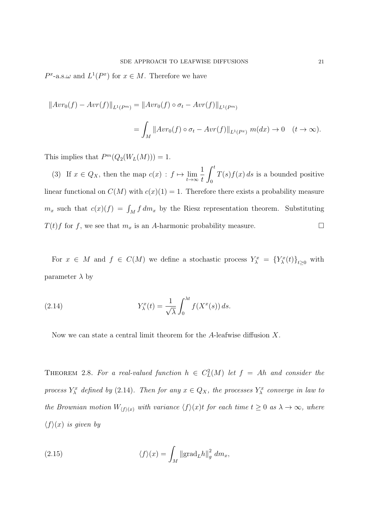$P^x$ -a.s. $\omega$  and  $L^1(P^x)$  for  $x \in M$ . Therefore we have

$$
||Avr_0(f) - Avr(f)||_{L^1(P^m)} = ||Avr_0(f) \circ \sigma_t - Avr(f)||_{L^1(P^m)}
$$
  
= 
$$
\int_M ||Avr_0(f) \circ \sigma_t - Avr(f)||_{L^1(P^x)} m(dx) \to 0 \quad (t \to \infty).
$$

This implies that  $P^m(Q_2(W_L(M))) = 1$ .

(3) If  $x \in Q_X$ , then the map  $c(x) : f \mapsto \lim_{t \to \infty}$ 1 *t*  $\int_0^t$ 0 *T*(*s*)*f*(*x*) *ds* is a bounded positive linear functional on  $C(M)$  with  $c(x)(1) = 1$ . Therefore there exists a probability measure  $m_x$  such that  $c(x)(f) = \int_M f dm_x$  by the Riesz representation theorem. Substituting *T*(*t*)*f* for *f*, we see that  $m_x$  is an *A*-harmonic probability measure. □

For  $x \in M$  and  $f \in C(M)$  we define a stochastic process  $Y_{\lambda}^x = \{Y_{\lambda}^x(t)\}_{t \geq 0}$  with parameter  $\lambda$  by

(2.14) 
$$
Y_{\lambda}^{x}(t) = \frac{1}{\sqrt{\lambda}} \int_{0}^{\lambda t} f(X^{x}(s)) ds.
$$

Now we can state a central limit theorem for the *A*-leafwise diffusion *X*.

THEOREM 2.8. For a real-valued function  $h \in C<sup>2</sup><sub>L</sub>(M)$  let  $f = Ah$  and consider the *process*  $Y_{\lambda}^{x}$  *defined by* (2.14)*. Then for any*  $x \in Q_{X}$ *, the processes*  $Y_{\lambda}^{x}$  *converge in law to the Brownian motion*  $W_{\langle f \rangle}(x)$  *with variance*  $\langle f \rangle(x)$ *t for each time*  $t \geq 0$  *as*  $\lambda \to \infty$ *, where*  $\langle f \rangle(x)$  *is given by* 

(2.15) 
$$
\langle f \rangle(x) = \int_M \|\text{grad}_L h\|_g^2 dm_x,
$$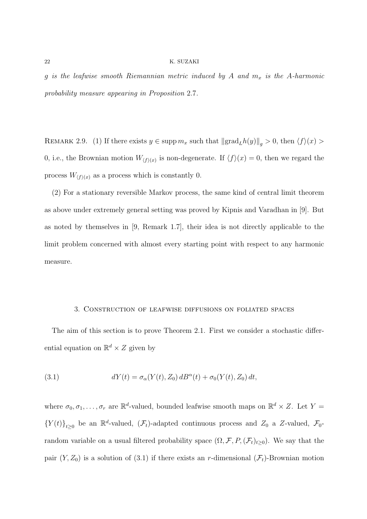*g is the leafwise smooth Riemannian metric induced by A and m<sup>x</sup> is the A-harmonic probability measure appearing in Proposition* 2*.*7*.*

REMARK 2.9. (1) If there exists  $y \in \text{supp } m_x$  such that  $||\text{grad}_L h(y)||_g > 0$ , then  $\langle f \rangle(x) >$ 0, i.e., the Brownian motion  $W_{\langle f \rangle}(x)$  is non-degenerate. If  $\langle f \rangle(x) = 0$ , then we regard the process  $W_{\langle f \rangle(x)}$  as a process which is constantly 0.

(2) For a stationary reversible Markov process, the same kind of central limit theorem as above under extremely general setting was proved by Kipnis and Varadhan in [9]. But as noted by themselves in [9, Remark 1*.*7], their idea is not directly applicable to the limit problem concerned with almost every starting point with respect to any harmonic measure.

### 3. Construction of leafwise diffusions on foliated spaces

The aim of this section is to prove Theorem 2*.*1. First we consider a stochastic differential equation on  $\mathbb{R}^d \times Z$  given by

(3.1) 
$$
dY(t) = \sigma_{\alpha}(Y(t), Z_0) dB^{\alpha}(t) + \sigma_0(Y(t), Z_0) dt,
$$

where  $\sigma_0, \sigma_1, \ldots, \sigma_r$  are  $\mathbb{R}^d$ -valued, bounded leafwise smooth maps on  $\mathbb{R}^d \times Z$ . Let  $Y =$  ${Y(t)}_{t\geq0}$  be an  $\mathbb{R}^d$ -valued,  $(\mathcal{F}_t)$ -adapted continuous process and  $Z_0$  a *Z*-valued,  $\mathcal{F}_0$ random variable on a usual filtered probability space  $(\Omega, \mathcal{F}, P, (\mathcal{F}_t)_{t\geq 0})$ . We say that the pair  $(Y, Z_0)$  is a solution of (3.1) if there exists an *r*-dimensional  $(\mathcal{F}_t)$ -Brownian motion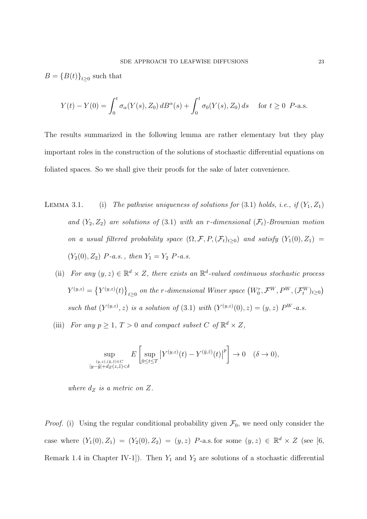$B = {B(t)}_{t\geq0}$  such that

$$
Y(t) - Y(0) = \int_0^t \sigma_\alpha(Y(s), Z_0) \, dB^\alpha(s) + \int_0^t \sigma_0(Y(s), Z_0) \, ds \quad \text{ for } t \ge 0 \ \ P\text{-a.s.}
$$

The results summarized in the following lemma are rather elementary but they play important roles in the construction of the solutions of stochastic differential equations on foliated spaces. So we shall give their proofs for the sake of later convenience.

- LEMMA 3.1. (i) The pathwise uniqueness of solutions for  $(3.1)$  holds, i.e., if  $(Y_1, Z_1)$ *and*  $(Y_2, Z_2)$  *are solutions of*  $(3.1)$  *with an r-dimensional*  $(\mathcal{F}_t)$ *-Brownian motion on a usual filtered probability space*  $(\Omega, \mathcal{F}, P, (\mathcal{F}_t)_{t\geq 0})$  *and satisfy*  $(Y_1(0), Z_1)$  =  $(Y_2(0), Z_2)$  *P-a.s.*, then  $Y_1 = Y_2$  *P-a.s.* 
	- (ii) *For any*  $(y, z) \in \mathbb{R}^d \times Z$ , there exists an  $\mathbb{R}^d$ -valued continuous stochastic process  $Y^{(y,z)} = \left\{Y^{(y,z)}(t)\right\}_{t\geq 0}$  on the r-dimensional Winer space  $\left(W^r_0, \mathcal{F}^W, P^W, (\mathcal{F}^W_t)_{t\geq 0}\right)$ *such that*  $(Y^{(y,z)}, z)$  *is a solution of* (3.1) *with*  $(Y^{(y,z)}(0), z) = (y, z) P^{W}$ -*a.s.*
	- (iii) *For any*  $p \geq 1$ ,  $T > 0$  *and compact subset*  $C$  *of*  $\mathbb{R}^d \times Z$ ,

$$
\sup_{\substack{(y,z),(\tilde{y},\tilde{z})\in C\\|y-\tilde{y}|+dz(z,\tilde{z})<\delta}} E\left[\sup_{0\leq t\leq T} \left|Y^{(y,z)}(t)-Y^{(\tilde{y},\tilde{z})}(t)\right|^p\right] \to 0 \quad (\delta \to 0),
$$

*where*  $d_Z$  *is a metric on*  $Z$ *.* 

*Proof.* (i) Using the regular conditional probability given  $\mathcal{F}_0$ , we need only consider the case where  $(Y_1(0), Z_1) = (Y_2(0), Z_2) = (y, z)$  *P*-a.s. for some  $(y, z) \in \mathbb{R}^d \times Z$  (see [6, Remark 1.4 in Chapter IV-1]). Then  $Y_1$  and  $Y_2$  are solutions of a stochastic differential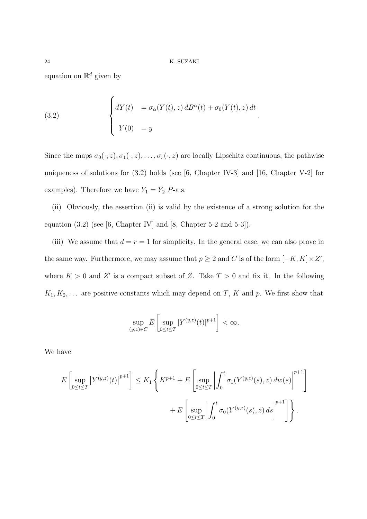equation on  $\mathbb{R}^d$  given by

(3.2) 
$$
\begin{cases} dY(t) = \sigma_{\alpha}(Y(t), z) dB^{\alpha}(t) + \sigma_{0}(Y(t), z) dt \\ Y(0) = y \end{cases}
$$

Since the maps  $\sigma_0(\cdot, z)$ ,  $\sigma_1(\cdot, z)$ , ...,  $\sigma_r(\cdot, z)$  are locally Lipschitz continuous, the pathwise uniqueness of solutions for (3*.*2) holds (see [6, Chapter IV-3] and [16, Chapter V-2] for examples). Therefore we have  $Y_1 = Y_2$  *P*-a.s.

(ii) Obviously, the assertion (ii) is valid by the existence of a strong solution for the equation  $(3.2)$  (see [6, Chapter IV] and [8, Chapter 5-2 and 5-3]).

(iii) We assume that  $d = r = 1$  for simplicity. In the general case, we can also prove in the same way. Furthermore, we may assume that  $p \geq 2$  and *C* is of the form  $[-K, K] \times Z'$ , where  $K > 0$  and  $Z'$  is a compact subset of Z. Take  $T > 0$  and fix it. In the following  $K_1, K_2, \ldots$  are positive constants which may depend on *T*, *K* and *p*. We first show that

$$
\sup_{(y,z)\in C} E\left[\sup_{0\leq t\leq T}|Y^{(y,z)}(t)|^{p+1}\right]<\infty.
$$

We have

$$
E\left[\sup_{0\leq t\leq T} |Y^{(y,z)}(t)|^{p+1}\right] \leq K_1 \left\{ K^{p+1} + E\left[\sup_{0\leq t\leq T} \left|\int_0^t \sigma_1(Y^{(y,z)}(s), z) \, dw(s)\right|^{p+1}\right] + E\left[\sup_{0\leq t\leq T} \left|\int_0^t \sigma_0(Y^{(y,z)}(s), z) \, ds\right|^{p+1}\right]\right\}.
$$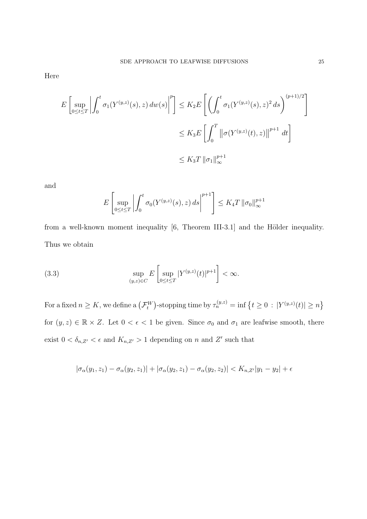Here

$$
E\left[\sup_{0\leq t\leq T}\left|\int_0^t \sigma_1(Y^{(y,z)}(s),z)\,dw(s)\right|^p\right] \leq K_2E\left[\left(\int_0^t \sigma_1(Y^{(y,z)}(s),z)^2\,ds\right)^{(p+1)/2}\right]
$$
  

$$
\leq K_3E\left[\int_0^T \left\|\sigma(Y^{(y,z)}(t),z)\right\|^{p+1}\,dt\right]
$$
  

$$
\leq K_3T\left\|\sigma_1\right\|_{\infty}^{p+1}
$$

and

$$
E\left[\sup_{0\leq t\leq T}\left|\int_0^t \sigma_0(Y^{(y,z)}(s),z)\,ds\right|^{p+1}\right] \leq K_4T\left\|\sigma_0\right\|_{\infty}^{p+1}
$$

from a well-known moment inequality [6, Theorem III-3.1] and the Hölder inequality. Thus we obtain

(3.3) 
$$
\sup_{(y,z)\in C} E\left[\sup_{0\leq t\leq T} |Y^{(y,z)}(t)|^{p+1}\right] < \infty.
$$

For a fixed  $n \geq K$ , we define a  $(\mathcal{F}_t^W)$ -stopping time by  $\tau_n^{(y,z)} = \inf \{ t \geq 0 : |Y^{(y,z)}(t)| \geq n \}$ for  $(y, z) \in \mathbb{R} \times \mathbb{Z}$ . Let  $0 < \epsilon < 1$  be given. Since  $\sigma_0$  and  $\sigma_1$  are leafwise smooth, there exist  $0 < \delta_{n,Z'} < \epsilon$  and  $K_{n,Z'} > 1$  depending on *n* and  $Z'$  such that

$$
|\sigma_{\alpha}(y_1, z_1) - \sigma_{\alpha}(y_2, z_1)| + |\sigma_{\alpha}(y_2, z_1) - \sigma_{\alpha}(y_2, z_2)| < K_{n, Z'}|y_1 - y_2| + \epsilon
$$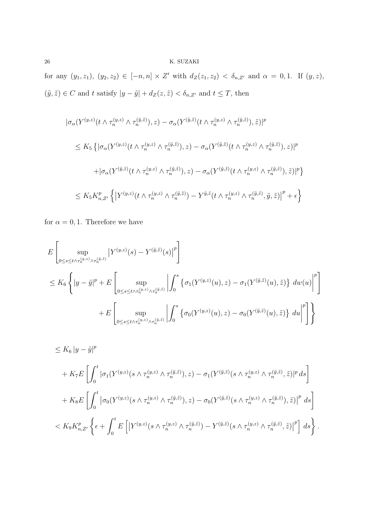for any  $(y_1, z_1), (y_2, z_2) \in [-n, n] \times Z'$  with  $d_Z(z_1, z_2) < \delta_{n, Z'}$  and  $\alpha = 0, 1$ . If  $(y, z)$ ,  $(y, \tilde{z})$  ∈ *C* and *t* satisfy  $|y - \tilde{y}| + d_Z(z, \tilde{z}) < \delta_{n,Z'}$  and  $t \leq T$ , then

$$
\begin{split}\n& |\sigma_{\alpha}(Y^{(y,z)}(t \wedge \tau_n^{(y,z)} \wedge \tau_n^{(\tilde{y},\tilde{z})}), z) - \sigma_{\alpha}(Y^{(\tilde{y},\tilde{z})}(t \wedge \tau_n^{(y,z)} \wedge \tau_n^{(\tilde{y},\tilde{z})}), \tilde{z})|^p \\
&\leq K_5 \left\{ |\sigma_{\alpha}(Y^{(y,z)}(t \wedge \tau_n^{(y,z)} \wedge \tau_n^{(\tilde{y},\tilde{z})}), z) - \sigma_{\alpha}(Y^{(\tilde{y},\tilde{z})}(t \wedge \tau_n^{(y,z)} \wedge \tau_n^{(\tilde{y},\tilde{z})}), z)|^p \right\} \\
& + |\sigma_{\alpha}(Y^{(\tilde{y},\tilde{z})}(t \wedge \tau_n^{(y,z)} \wedge \tau_n^{(\tilde{y},\tilde{z})}), z) - \sigma_{\alpha}(Y^{(\tilde{y},\tilde{z})}(t \wedge \tau_n^{(y,z)} \wedge \tau_n^{(\tilde{y},\tilde{z})}), \tilde{z})|^p \right\} \\
&\leq K_5 K_{n,Z'}^p \left\{ \left| Y^{(y,z)}(t \wedge \tau_n^{(y,z)} \wedge \tau_n^{(\tilde{y},\tilde{z})}) - Y^{\tilde{y},\tilde{z}}(t \wedge \tau_n^{(y,z)} \wedge \tau_n^{(\tilde{y},\tilde{z})}, \tilde{y}, \tilde{z}) \right|^p + \epsilon \right\}\n\end{split}
$$

for  $\alpha = 0, 1$ . Therefore we have

$$
E\left[\sup_{0\leq s\leq t\wedge\tau_n^{(\tilde{y},z)}\wedge\tau_n^{(\tilde{y},\tilde{z})}}\left|Y^{(y,z)}(s)-Y^{(\tilde{y},\tilde{z})}(s)\right|^p\right]
$$
  
\n
$$
\leq K_6\left\{|y-\tilde{y}|^p+E\left[\sup_{0\leq s\leq t\wedge\tau_n^{(\tilde{y},\tilde{z})}\wedge\tau_n^{(\tilde{y},\tilde{z})}}\left|\int_0^s\left\{\sigma_1(Y^{(y,z)}(u),z)-\sigma_1(Y^{(\tilde{y},\tilde{z})}(u),\tilde{z})\right\}\,dw(u)\right|^p\right]
$$
  
\n
$$
+E\left[\sup_{0\leq s\leq t\wedge\tau_n^{(\tilde{y},z)}\wedge\tau_n^{(\tilde{y},\tilde{z})}}\left|\int_0^s\left\{\sigma_0(Y^{(y,z)}(u),z)-\sigma_0(Y^{(\tilde{y},\tilde{z})}(u),\tilde{z})\right\}\,du\right|^p\right]\right\}
$$

$$
\leq K_6 |y - \tilde{y}|^p
$$
  
+  $K_7 E \left[ \int_0^t |\sigma_1(Y^{(y,z)}(s \wedge \tau_n^{(y,z)} \wedge \tau_n^{(\tilde{y},\tilde{z})}), z) - \sigma_1(Y^{(\tilde{y},\tilde{z})}(s \wedge \tau_n^{(y,z)} \wedge \tau_n^{(\tilde{y},\tilde{z})}, \tilde{z})|^p ds \right]$   
+  $K_8 E \left[ \int_0^t |\sigma_0(Y^{(y,z)}(s \wedge \tau_n^{(y,z)} \wedge \tau_n^{(\tilde{y},\tilde{z})}), z) - \sigma_0(Y^{(\tilde{y},\tilde{z})}(s \wedge \tau_n^{(y,z)} \wedge \tau_n^{(\tilde{y},\tilde{z})}), \tilde{z})|^p ds \right]$   
 $< K_9 K_{n,Z'}^p \left\{ \epsilon + \int_0^t E \left[ |Y^{(y,z)}(s \wedge \tau_n^{(y,z)} \wedge \tau_n^{(\tilde{y},\tilde{z})}) - Y^{(\tilde{y},\tilde{z})}(s \wedge \tau_n^{(y,z)} \wedge \tau_n^{(\tilde{y},\tilde{z})}, \tilde{z})|^p \right] ds \right\}.$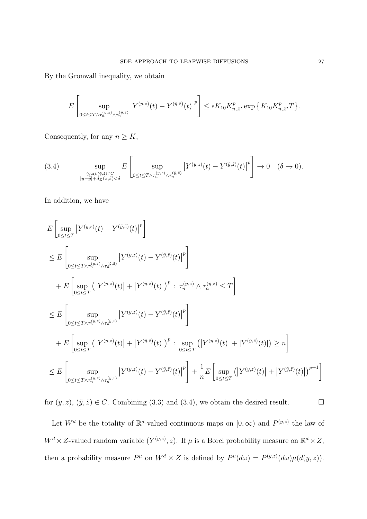By the Gronwall inequality, we obtain

$$
E\left[\sup_{0\leq t\leq T\wedge\tau_n^{(y,z)}\wedge\tau_n^{(\tilde{y},z)}}\left|Y^{(y,z)}(t)-Y^{(\tilde{y},\tilde{z})}(t)\right|^p\right]\leq \epsilon K_{10}K_{n,Z'}^p\exp\left\{K_{10}K_{n,Z'}^pT\right\}.
$$

Consequently, for any  $n \geq K$ ,

$$
(3.4) \qquad \sup_{\substack{(y,z),(\tilde{y},\tilde{z})\in C\\|y-\tilde{y}|+dz(z,\tilde{z})<\delta}} E\left[\sup_{0\leq t\leq T\wedge\tau_n^{(y,z)}\wedge\tau_n^{(\tilde{y},\tilde{z})}}\left|Y^{(y,z)}(t)-Y^{(\tilde{y},\tilde{z})}(t)\right|^p\right]\to 0 \quad (\delta\to 0).
$$

In addition, we have

$$
E\left[\sup_{0\leq t\leq T}|Y^{(y,z)}(t)-Y^{(\tilde{y},\tilde{z})}(t)|^{p}\right]
$$
  
\n
$$
\leq E\left[\sup_{0\leq t\leq T\wedge\tau_{n}^{(y,z)}\wedge\tau_{n}^{(\tilde{y},\tilde{z})}}|Y^{(y,z)}(t)-Y^{(\tilde{y},\tilde{z})}(t)|^{p}\right]
$$
  
\n
$$
+E\left[\sup_{0\leq t\leq T}\left(|Y^{(y,z)}(t)|+|Y^{(\tilde{y},\tilde{z})}(t)|\right)^{p}:\tau_{n}^{(y,z)}\wedge\tau_{n}^{(\tilde{y},\tilde{z})}\leq T\right]
$$
  
\n
$$
\leq E\left[\sup_{0\leq t\leq T\wedge\tau_{n}^{(y,z)}\wedge\tau_{n}^{(\tilde{y},\tilde{z})}}|Y^{(y,z)}(t)-Y^{(\tilde{y},\tilde{z})}(t)|^{p}\right]
$$
  
\n
$$
+E\left[\sup_{0\leq t\leq T}\left(|Y^{(y,z)}(t)|+|Y^{(\tilde{y},\tilde{z})}(t)|\right)^{p}:\sup_{0\leq t\leq T}\left(|Y^{(y,z)}(t)|+|Y^{(\tilde{y},\tilde{z})}(t)|\right)\geq n\right]
$$
  
\n
$$
\leq E\left[\sup_{0\leq t\leq T\wedge\tau_{n}^{(y,z)}\wedge\tau_{n}^{(\tilde{y},\tilde{z})}}|Y^{(y,z)}(t)-Y^{(\tilde{y},\tilde{z})}(t)|^{p}\right]+\frac{1}{n}E\left[\sup_{0\leq t\leq T}\left(|Y^{(y,z)}(t)|+|Y^{(\tilde{y},\tilde{z})}(t)|\right)^{p+1}\right]
$$

for  $(y, z)$ ,  $(\tilde{y}, \tilde{z}) \in C$ . Combining (3.3) and (3.4), we obtain the desired result. □

Let  $W^d$  be the totality of  $\mathbb{R}^d$ -valued continuous maps on  $[0, \infty)$  and  $P^{(y,z)}$  the law of  $W^d \times Z$ -valued random variable  $(Y^{(y,z)}, z)$ . If  $\mu$  is a Borel probability measure on  $\mathbb{R}^d \times Z$ , then a probability measure  $P^{\mu}$  on  $W^{d} \times Z$  is defined by  $P^{\mu}(d\omega) = P^{(y,z)}(d\omega)\mu(d(y,z)).$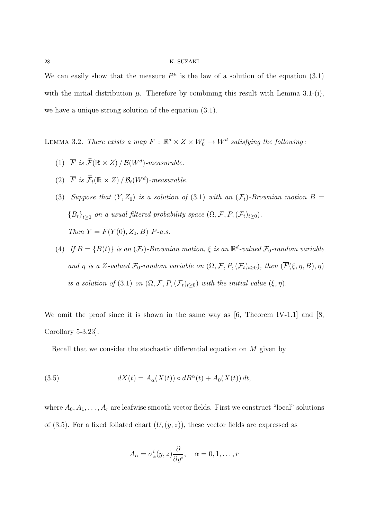### 28 K. SUZAKI

We can easily show that the measure  $P^{\mu}$  is the law of a solution of the equation (3.1) with the initial distribution  $\mu$ . Therefore by combining this result with Lemma 3.1-(i), we have a unique strong solution of the equation (3*.*1).

LEMMA 3.2. *There exists a map*  $\overline{F}$  :  $\mathbb{R}^d \times Z \times W_0^r \to W^d$  satisfying the following:

- (1)  $\overline{F}$  *is*  $\widehat{\mathcal{F}}(\mathbb{R} \times Z)$  */*  $\mathcal{B}(W^d)$ -measurable.
- (2)  $\overline{F}$  *is*  $\mathcal{F}_t(\mathbb{R} \times Z) / \mathcal{B}_t(W^d)$ -measurable.
- (3) *Suppose that*  $(Y, Z_0)$  *is a solution of* (3.1) *with an*  $(\mathcal{F}_t)$ -Brownian motion B =  ${B_t}_{t\geq0}$  *on a usual filtered probability space*  $(\Omega, \mathcal{F}, P, (\mathcal{F}_t)_{t\geq0})$ *. Then*  $Y = \overline{F}(Y(0), Z_0, B)$  *P-a.s.*
- (4) *If*  $B = {B(t)}$  *is an*  $(\mathcal{F}_t)$ -Brownian motion,  $\xi$  *is an*  $\mathbb{R}^d$ -valued  $\mathcal{F}_0$ -random variable *and η is a Z-valued*  $\mathcal{F}_0$ *-random variable on*  $(\Omega, \mathcal{F}, P, (\mathcal{F}_t)_{t \geq 0})$ *, then*  $(\overline{F}(\xi, \eta, B), \eta)$ *is a solution of* (3.1) *on*  $(\Omega, \mathcal{F}, P, (\mathcal{F}_t)_{t\geq 0})$  *with the initial value*  $(\xi, \eta)$ *.*

We omit the proof since it is shown in the same way as [6, Theorem IV-1*.*1] and [8, Corollary 5-3*.*23].

Recall that we consider the stochastic differential equation on *M* given by

(3.5) 
$$
dX(t) = A_{\alpha}(X(t)) \circ dB^{\alpha}(t) + A_0(X(t)) dt,
$$

where  $A_0, A_1, \ldots, A_r$  are leafwise smooth vector fields. First we construct "local" solutions of  $(3.5)$ . For a fixed foliated chart  $(U,(y,z))$ , these vector fields are expressed as

$$
A_{\alpha} = \sigma_{\alpha}^{i}(y, z) \frac{\partial}{\partial y^{i}}, \quad \alpha = 0, 1, \dots, r
$$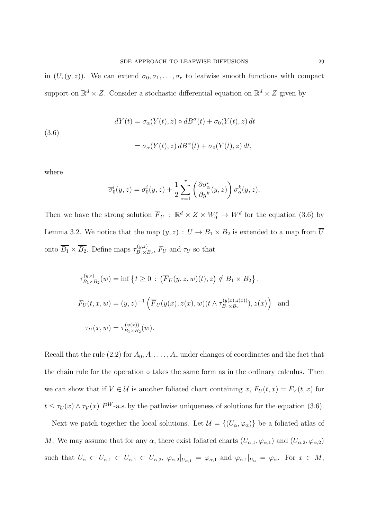in  $(U,(y,z))$ . We can extend  $\sigma_0, \sigma_1, \ldots, \sigma_r$  to leafwise smooth functions with compact support on  $\mathbb{R}^d \times Z$ . Consider a stochastic differential equation on  $\mathbb{R}^d \times Z$  given by

(3.6)  
\n
$$
dY(t) = \sigma_{\alpha}(Y(t), z) \circ dB^{\alpha}(t) + \sigma_{0}(Y(t), z) dt
$$
\n
$$
= \sigma_{\alpha}(Y(t), z) dB^{\alpha}(t) + \overline{\sigma}_{0}(Y(t), z) dt,
$$

where

$$
\overline{\sigma}_0^i(y, z) = \sigma_0^i(y, z) + \frac{1}{2} \sum_{\alpha=1}^r \left( \frac{\partial \sigma_\alpha^i}{\partial y^k}(y, z) \right) \sigma_\alpha^k(y, z).
$$

Then we have the strong solution  $\overline{F}_U$ :  $\mathbb{R}^d \times Z \times W_0^r \to W^d$  for the equation (3.6) by Lemma 3.2. We notice that the map  $(y, z) : U \to B_1 \times B_2$  is extended to a map from  $\overline{U}$ onto  $\overline{B_1} \times \overline{B_2}$ . Define maps  $\tau_{B_1 \times I}^{(y,z)}$  $E_{B_1\times B_2}^{(y,z)}$ ,  $F_U$  and  $\tau_U$  so that

$$
\tau_{B_1 \times B_2}^{(y,z)}(w) = \inf \left\{ t \ge 0 : \left( \overline{F}_U(y, z, w)(t), z \right) \notin B_1 \times B_2 \right\},\
$$
  

$$
F_U(t, x, w) = (y, z)^{-1} \left( \overline{F}_U(y(x), z(x), w)(t \wedge \tau_{B_1 \times B_2}^{(y(x), z(x))}), z(x) \right) \text{ and }
$$
  

$$
\tau_U(x, w) = \tau_{B_1 \times B_2}^{(\varphi(x))}(w).
$$

Recall that the rule (2.2) for  $A_0, A_1, \ldots, A_r$  under changes of coordinates and the fact that the chain rule for the operation *◦* takes the same form as in the ordinary calculus. Then we can show that if  $V \in \mathcal{U}$  is another foliated chart containing *x*,  $F_U(t, x) = F_V(t, x)$  for  $t \leq \tau_U(x) \wedge \tau_V(x)$  *PW*-a.s. by the pathwise uniqueness of solutions for the equation (3.6).

Next we patch together the local solutions. Let  $\mathcal{U} = \{(U_\alpha, \varphi_\alpha)\}\)$  be a foliated atlas of *M*. We may assume that for any  $\alpha$ , there exist foliated charts  $(U_{\alpha,1}, \varphi_{\alpha,1})$  and  $(U_{\alpha,2}, \varphi_{\alpha,2})$ such that  $\overline{U_{\alpha}} \subset U_{\alpha,1} \subset \overline{U_{\alpha,1}} \subset U_{\alpha,2}$ ,  $\varphi_{\alpha,2}|_{U_{\alpha,1}} = \varphi_{\alpha,1}$  and  $\varphi_{\alpha,1}|_{U_{\alpha}} = \varphi_{\alpha}$ . For  $x \in M$ ,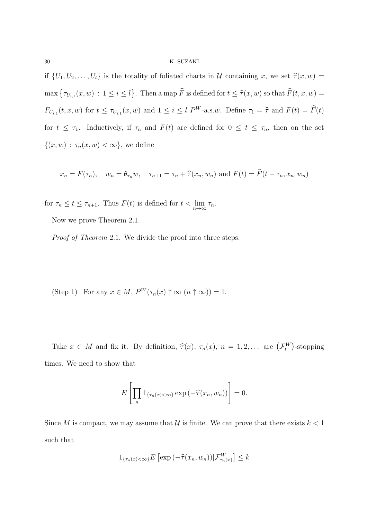## 30 K. SUZAKI

if  $\{U_1, U_2, \ldots, U_l\}$  is the totality of foliated charts in *U* containing *x*, we set  $\hat{\tau}(x, w) =$  $\max \{ \tau_{U_{i,1}}(x, w) : 1 \leq i \leq l \}.$  Then a map  $\widehat{F}$  is defined for  $t \leq \widehat{\tau}(x, w)$  so that  $\widehat{F}(t, x, w) =$  $F_{U_{i,1}}(t,x,w)$  for  $t \leq \tau_{U_{i,1}}(x,w)$  and  $1 \leq i \leq l$   $P^W$ -a.s.w. Define  $\tau_1 = \hat{\tau}$  and  $F(t) = \hat{F}(t)$ for  $t \leq \tau_1$ . Inductively, if  $\tau_n$  and  $F(t)$  are defined for  $0 \leq t \leq \tau_n$ , then on the set  $\{(x, w) : \tau_n(x, w) < \infty\}$ , we define

$$
x_n = F(\tau_n)
$$
,  $w_n = \theta_{\tau_n} w$ ,  $\tau_{n+1} = \tau_n + \hat{\tau}(x_n, w_n)$  and  $F(t) = \hat{F}(t - \tau_n, x_n, w_n)$ 

for  $\tau_n \leq t \leq \tau_{n+1}$ . Thus  $F(t)$  is defined for  $t < \lim_{n \to \infty} \tau_n$ .

Now we prove Theorem 2*.*1.

*Proof of Theorem* 2*.*1. We divide the proof into three steps.

(Step 1) For any  $x \in M$ ,  $P^W(\tau_n(x) \uparrow \infty (n \uparrow \infty)) = 1$ .

Take  $x \in M$  and fix it. By definition,  $\hat{\tau}(x)$ ,  $\tau_n(x)$ ,  $n = 1, 2, \dots$  are  $(\mathcal{F}_t^W)$ -stopping times. We need to show that

$$
E\left[\prod_{n} 1_{\{\tau_n(x)<\infty\}} \exp\left(-\widehat{\tau}(x_n, w_n)\right)\right] = 0.
$$

Since *M* is compact, we may assume that *U* is finite. We can prove that there exists  $k < 1$ such that

$$
1_{\{\tau_n(x)<\infty\}}E\left[\exp\left(-\widehat{\tau}(x_n,w_n)\right)\big|\mathcal{F}_{\tau_n(x)}^W\right]\leq k
$$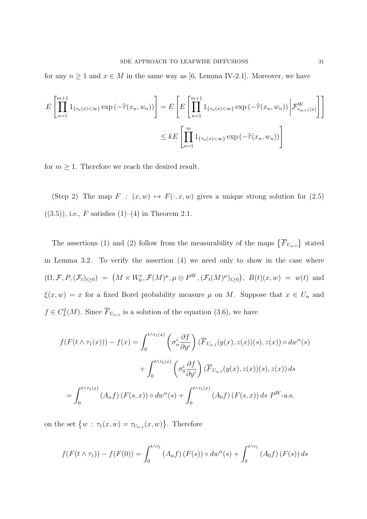for any  $n \ge 1$  and  $x \in M$  in the same way as [6, Lemma IV-2.1]. Moreover, we have

$$
E\left[\prod_{n=1}^{m+1} 1_{\{\tau_n(x)<\infty\}} \exp\left(-\widehat{\tau}(x_n, w_n)\right)\right] = E\left[E\left[\prod_{n=1}^{m+1} 1_{\{\tau_n(x)<\infty\}} \exp\left(-\widehat{\tau}(x_n, w_n)\right)\middle| \mathcal{F}_{\tau_{m+1}(x)}^W\right]\right]
$$

$$
\leq kE\left[\prod_{n=1}^m 1_{\{\tau_n(x)<\infty\}} \exp\left(-\widehat{\tau}(x_n, w_n)\right)\right]
$$

for  $m \geq 1$ . Therefore we reach the desired result.

(Step 2) The map  $F : (x, w) \mapsto F(\cdot, x, w)$  gives a unique strong solution for  $(2.5)$  $((3.5))$ , i.e., *F* satisfies  $(1)–(4)$  in Theorem 2.1.

The assertions (1) and (2) follow from the measurability of the maps  $\{F_{U_{\alpha,1}}\}$  stated in Lemma 3*.*2. To verify the assertion (4) we need only to show in the case where  $(\Omega, \mathcal{F}, P, (\mathcal{F}_t)_{t\geq 0}) = (M \times W_0^r, \mathcal{F}(M)^\mu, \mu \otimes P^W, (\mathcal{F}_t(M)^\mu)_{t\geq 0}), B(t)(x, w) = w(t)$  and  $\xi(x, w) = x$  for a fixed Borel probability measure  $\mu$  on *M*. Suppose that  $x \in U_\alpha$  and  $f \in C^2_L(M)$ . Since  $\overline{F}_{U_{\alpha,1}}$  is a solution of the equation (3.6), we have

$$
f(F(t \wedge \tau_1(x))) - f(x) = \int_0^{t \wedge \tau_1(x)} \left( \sigma_\alpha^i \frac{\partial f}{\partial y^i} \right) (\overline{F}_{U_{\alpha,1}}(y(x), z(x))(s), z(x)) \circ dw^\alpha(s)
$$

$$
+ \int_0^{t \wedge \tau_1(x)} \left( \sigma_\alpha^i \frac{\partial f}{\partial y^i} \right) (\overline{F}_{U_{\alpha,1}}(y(x), z(x))(s), z(x)) ds
$$

$$
= \int_0^{t \wedge \tau_1(x)} (A_\alpha f) (F(s, x)) \circ dw^\alpha(s) + \int_0^{t \wedge \tau_1(x)} (A_0 f) (F(s, x)) ds P^W \text{-a.s.}
$$

on the set  $\{w : \tau_1(x, w) = \tau_{U_{\alpha,1}}(x, w)\}.$  Therefore

$$
f(F(t \wedge \tau_1)) - f(F(0)) = \int_0^{t \wedge \tau_1} (A_{\alpha}f) (F(s)) \circ dw^{\alpha}(s) + \int_0^{t \wedge \tau_1} (A_0f) (F(s)) ds
$$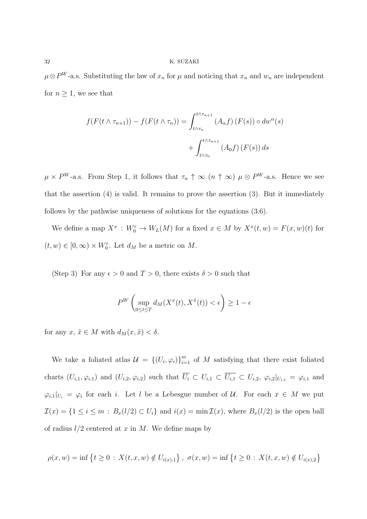$\mu \otimes P^W$ -a.s. Substituting the law of  $x_n$  for  $\mu$  and noticing that  $x_n$  and  $w_n$  are independent for  $n \geq 1$ , we see that

$$
f(F(t \wedge \tau_{n+1})) - f(F(t \wedge \tau_n)) = \int_{t \wedge \tau_n}^{t \wedge \tau_{n+1}} (A_{\alpha}f) (F(s)) \circ dw^{\alpha}(s)
$$

$$
+ \int_{t \wedge \tau_n}^{t \wedge \tau_{n+1}} (A_0f) (F(s)) ds
$$

 $\mu \times P^W$ -a.s. From Step 1, it follows that  $\tau_n \uparrow \infty$  ( $n \uparrow \infty$ )  $\mu \otimes P^W$ -a.s. Hence we see that the assertion (4) is valid. It remains to prove the assertion (3). But it immediately follows by the pathwise uniqueness of solutions for the equations (3*.*6).

We define a map  $X^x$ :  $W_0^r \to W_L(M)$  for a fixed  $x \in M$  by  $X^x(t, w) = F(x, w)(t)$  for  $(t, w) \in [0, \infty) \times W_0^r$ . Let  $d_M$  be a metric on M.

(Step 3) For any  $\epsilon > 0$  and  $T > 0$ , there exists  $\delta > 0$  such that

$$
P^{W}\left(\sup_{0\leq t\leq T}d_{M}(X^{x}(t),X^{\tilde{x}}(t))<\epsilon\right)\geq1-\epsilon
$$

for any  $x, \tilde{x} \in M$  with  $d_M(x, \tilde{x}) < \delta$ .

We take a foliated atlas  $\mathcal{U} = \{(U_i, \varphi_i)\}_{i=1}^m$  of M satisfying that there exist foliated charts  $(U_{i,1}, \varphi_{i,1})$  and  $(U_{i,2}, \varphi_{i,2})$  such that  $\overline{U_i} \subset U_{i,1} \subset \overline{U_{i,1}} \subset U_{i,2}$ ,  $\varphi_{i,2}|_{U_{i,1}} = \varphi_{i,1}$  and  $\varphi_{i,1}|_{U_i} = \varphi_i$  for each *i*. Let *l* be a Lebesgue number of *U*. For each  $x \in M$  we put  $\mathcal{I}(x) = \{1 \leq i \leq m : B_x(l/2) \subset U_i\}$  and  $i(x) = \min \mathcal{I}(x)$ , where  $B_x(l/2)$  is the open ball of radius *l/*2 centered at *x* in *M*. We define maps by

$$
\rho(x, w) = \inf \{ t \ge 0 \, : \, X(t, x, w) \notin U_{i(x), 1} \}, \, \sigma(x, w) = \inf \{ t \ge 0 \, : \, X(t, x, w) \notin U_{i(x), 2} \}
$$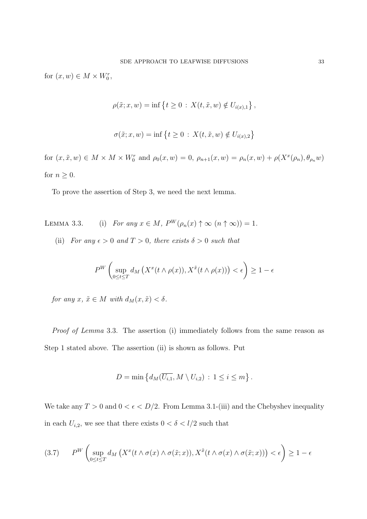for  $(x, w) \in M \times W_0^r$ ,

$$
\rho(\tilde{x}; x, w) = \inf \{ t \ge 0 : X(t, \tilde{x}, w) \notin U_{i(x), 1} \},
$$

$$
\sigma(\tilde{x};x,w) = \inf \left\{ t \ge 0 \, : \, X(t,\tilde{x},w) \notin U_{i(x),2} \right\}
$$

for  $(x, \tilde{x}, w) \in M \times M \times W_0^r$  and  $\rho_0(x, w) = 0$ ,  $\rho_{n+1}(x, w) = \rho_n(x, w) + \rho(X^x(\rho_n), \theta_{\rho_n}w)$ for  $n \geq 0$ .

To prove the assertion of Step 3, we need the next lemma.

- LEMMA 3.3. (i) *For any*  $x \in M$ ,  $P^W(\rho_n(x) \uparrow \infty (n \uparrow \infty)) = 1$ .
	- (ii) *For any*  $\epsilon > 0$  *and*  $T > 0$ *, there exists*  $\delta > 0$  *such that*

$$
P^{W}\left(\sup_{0\leq t\leq T}d_{M}\left(X^{x}(t\wedge\rho(x)),X^{\tilde{x}}(t\wedge\rho(x))\right)<\epsilon\right)\geq1-\epsilon
$$

*for any*  $x, \tilde{x} \in M$  *with*  $d_M(x, \tilde{x}) < \delta$ .

*Proof of Lemma* 3*.*3. The assertion (i) immediately follows from the same reason as Step 1 stated above. The assertion (ii) is shown as follows. Put

$$
D = \min \left\{ d_M(\overline{U_{i,1}}, M \setminus U_{i,2}) \, : \, 1 \leq i \leq m \right\}.
$$

We take any  $T > 0$  and  $0 < \epsilon < D/2$ . From Lemma 3.1-(iii) and the Chebyshev inequality in each  $U_{i,2}$ , we see that there exists  $0 < \delta < l/2$  such that

$$
(3.7) \qquad P^{W}\left(\sup_{0\leq t\leq T} d_{M}\left(X^{x}(t\wedge\sigma(x)\wedge\sigma(\tilde{x};x)),X^{\tilde{x}}(t\wedge\sigma(x)\wedge\sigma(\tilde{x};x))\right)<\epsilon\right)\geq 1-\epsilon
$$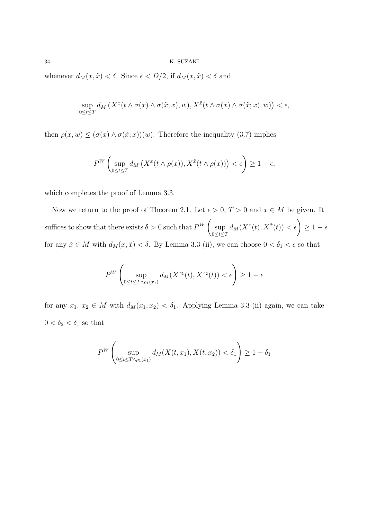whenever  $d_M(x, \tilde{x}) < \delta$ . Since  $\epsilon < D/2$ , if  $d_M(x, \tilde{x}) < \delta$  and

$$
\sup_{0\leq t\leq T} d_M\left(X^x(t\wedge \sigma(x)\wedge \sigma(\tilde{x};x),w),X^{\tilde{x}}(t\wedge \sigma(x)\wedge \sigma(\tilde{x};x),w)\right)<\epsilon,
$$

then  $\rho(x, w) \leq (\sigma(x) \wedge \sigma(\tilde{x}; x))(w)$ . Therefore the inequality (3.7) implies

$$
P^{W}\left(\sup_{0\leq t\leq T}d_{M}\left(X^{x}(t\wedge\rho(x)),X^{\tilde{x}}(t\wedge\rho(x))\right)<\epsilon\right)\geq1-\epsilon,
$$

which completes the proof of Lemma 3*.*3.

Now we return to the proof of Theorem 2.1. Let  $\epsilon > 0$ ,  $T > 0$  and  $x \in M$  be given. It suffices to show that there exists  $\delta > 0$  such that  $P^{W}$ sup 0*≤t≤T*  $d_M(X^x(t), X^{\tilde{x}}(t)) < \epsilon$ <sup>)</sup> *≥* 1 *−*  $\epsilon$ for any  $\tilde{x} \in M$  with  $d_M(x, \tilde{x}) < \delta$ . By Lemma 3.3-(ii), we can choose  $0 < \delta_1 < \epsilon$  so that

$$
P^{W}\left(\sup_{0\leq t\leq T\wedge\rho_{1}(x_{1})}d_{M}(X^{x_{1}}(t),X^{x_{2}}(t))<\epsilon\right)\geq1-\epsilon
$$

for any  $x_1, x_2 \in M$  with  $d_M(x_1, x_2) < \delta_1$ . Applying Lemma 3.3-(ii) again, we can take  $0 < \delta_2 < \delta_1$  so that

$$
P^{W}\left(\sup_{0\leq t\leq T\wedge\rho_{1}(x_{1})}d_{M}(X(t,x_{1}),X(t,x_{2}))<\delta_{1}\right)\geq1-\delta_{1}
$$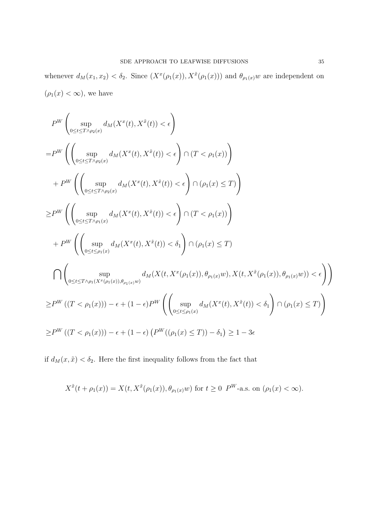whenever  $d_M(x_1, x_2) < \delta_2$ . Since  $(X^x(\rho_1(x)), X^{\tilde{x}}(\rho_1(x)))$  and  $\theta_{\rho_1(x)}w$  are independent on  $(\rho_1(x) < \infty)$ , we have

$$
\label{eq:3.1} \begin{split} &P^W\left(\sup_{0\leq t\leq T\wedge\rho_2(x)}d_M(X^x(t),X^{\tilde{x}}(t))<\epsilon\right)\\ =&P^W\left(\left(\sup_{0\leq t\leq T\wedge\rho_2(x)}d_M(X^x(t),X^{\tilde{x}}(t))<\epsilon\right)\cap (T<\rho_1(x))\right)\\ &+P^W\left(\left(\sup_{0\leq t\leq T\wedge\rho_2(x)}d_M(X^x(t),X^{\tilde{x}}(t))<\epsilon\right)\cap (\rho_1(x)\leq T)\right)\\ \geq &P^W\left(\left(\sup_{0\leq t\leq T\wedge\rho_1(x)}d_M(X^x(t),X^{\tilde{x}}(t))<\epsilon\right)\cap (T<\rho_1(x))\right)\\ &+P^W\left(\left(\sup_{0\leq t\leq \rho_1(x)}d_M(X^x(t),X^{\tilde{x}}(t))<\delta_1\right)\cap (\rho_1(x)\leq T)\\ &\bigcap\left(\sup_{0\leq t\leq T\wedge\rho_1(X^x(\rho_1(x)),\theta_{\rho_1(x)}w)}d_M(X(t,X^x(\rho_1(x)),\theta_{\rho_1(x)}w),X(t,X^{\tilde{x}}(\rho_1(x)),\theta_{\rho_1(x)}w))<\epsilon\right)\right)\\ \geq &P^W\left((T<\rho_1(x)))-\epsilon+(1-\epsilon)P^W\left(\left(\sup_{0\leq t\leq \rho_1(x)}d_M(X^x(t),X^{\tilde{x}}(t))<\delta_1\right)\cap (\rho_1(x)\leq T)\right)\\ \geq &P^W\left((T<\rho_1(x)))-\epsilon+(1-\epsilon)\left(P^W((\rho_1(x)\leq T))-\delta_1\right)\geq 1-3\epsilon\end{split}
$$

if  $d_M(x, \tilde{x}) < \delta_2$ . Here the first inequality follows from the fact that

$$
X^{\tilde{x}}(t+\rho_1(x)) = X(t, X^{\tilde{x}}(\rho_1(x)), \theta_{\rho_1(x)}w)
$$
 for  $t \ge 0$  P<sup>W</sup>-a.s. on  $(\rho_1(x) < \infty)$ .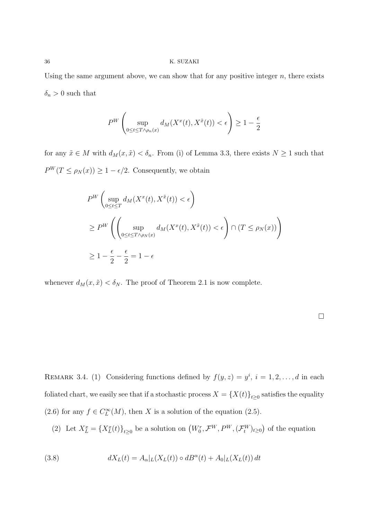Using the same argument above, we can show that for any positive integer *n*, there exists  $\delta_n > 0$  such that

$$
P^{W}\left(\sup_{0\leq t\leq T\wedge \rho_{n}(x)}d_{M}(X^{x}(t),X^{\tilde{x}}(t))<\epsilon\right)\geq 1-\frac{\epsilon}{2}
$$

for any  $\tilde{x} \in M$  with  $d_M(x, \tilde{x}) < \delta_n$ . From (i) of Lemma 3.3, there exists  $N \ge 1$  such that  $P^{W}(T \leq \rho_{N}(x)) \geq 1 - \epsilon/2$ . Consequently, we obtain

$$
P^{W}\left(\sup_{0\leq t\leq T} d_{M}(X^{x}(t), X^{\tilde{x}}(t)) < \epsilon\right)
$$
  
\n
$$
\geq P^{W}\left(\left(\sup_{0\leq t\leq T\wedge\rho_{N}(x)} d_{M}(X^{x}(t), X^{\tilde{x}}(t)) < \epsilon\right) \cap (T \leq \rho_{N}(x))\right)
$$
  
\n
$$
\geq 1 - \frac{\epsilon}{2} - \frac{\epsilon}{2} = 1 - \epsilon
$$

whenever  $d_M(x, \tilde{x}) < \delta_N$ . The proof of Theorem 2.1 is now complete.

REMARK 3.4. (1) Considering functions defined by  $f(y, z) = y^i$ ,  $i = 1, 2, ..., d$  in each foliated chart, we easily see that if a stochastic process  $X = \{X(t)\}_{t \geq 0}$  satisfies the equality (2.6) for any  $f \in C^{\infty}_L(M)$ , then *X* is a solution of the equation (2.5).

(2) Let  $X_L^x = \{X_L^x(t)\}_{t\geq 0}$  be a solution on  $(W_0^r, \mathcal{F}^W, P^W, (\mathcal{F}^W_t)_{t\geq 0})$  of the equation

(3.8) 
$$
dX_L(t) = A_\alpha|_L(X_L(t)) \circ dB^\alpha(t) + A_0|_L(X_L(t)) dt
$$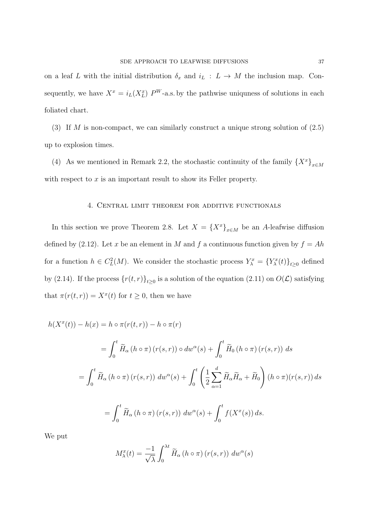on a leaf *L* with the initial distribution  $\delta_x$  and  $i_L$  :  $L \rightarrow M$  the inclusion map. Consequently, we have  $X^x = i_L(X^x_L) P^W$ -a.s. by the pathwise uniquess of solutions in each foliated chart.

(3) If *M* is non-compact, we can similarly construct a unique strong solution of (2*.*5) up to explosion times.

(4) As we mentioned in Remark 2.2, the stochastic continuity of the family  ${X^x}_{x \in M}$ with respect to x is an important result to show its Feller property.

# 4. Central limit theorem for additive functionals

In this section we prove Theorem 2.8. Let  $X = \{X^x\}_{x \in M}$  be an *A*-leafwise diffusion defined by (2.12). Let *x* be an element in *M* and *f* a continuous function given by  $f = Ah$ for a function  $h \in C^2_L(M)$ . We consider the stochastic process  $Y^x_\lambda = \{Y^x_\lambda(t)\}_{t \geq 0}$  defined by (2.14). If the process  $\{r(t,r)\}_{t\geq 0}$  is a solution of the equation (2.11) on  $O(\mathcal{L})$  satisfying that  $\pi(r(t,r)) = X^x(t)$  for  $t \geq 0$ , then we have

$$
h(X^{x}(t)) - h(x) = h \circ \pi(r(t,r)) - h \circ \pi(r)
$$
  
= 
$$
\int_{0}^{t} \widetilde{H}_{\alpha} (h \circ \pi) (r(s,r)) \circ dw^{\alpha}(s) + \int_{0}^{t} \widetilde{H}_{0} (h \circ \pi) (r(s,r)) ds
$$
  
= 
$$
\int_{0}^{t} \widetilde{H}_{\alpha} (h \circ \pi) (r(s,r)) dw^{\alpha}(s) + \int_{0}^{t} \left( \frac{1}{2} \sum_{\alpha=1}^{d} \widetilde{H}_{\alpha} \widetilde{H}_{\alpha} + \widetilde{H}_{0} \right) (h \circ \pi) (r(s,r)) ds
$$
  
= 
$$
\int_{0}^{t} \widetilde{H}_{\alpha} (h \circ \pi) (r(s,r)) dw^{\alpha}(s) + \int_{0}^{t} f(X^{x}(s)) ds.
$$

We put

$$
M_{\lambda}^{x}(t) = \frac{-1}{\sqrt{\lambda}} \int_{0}^{\lambda t} \widetilde{H}_{\alpha} \left( h \circ \pi \right) \left( r(s, r) \right) dw^{\alpha}(s)
$$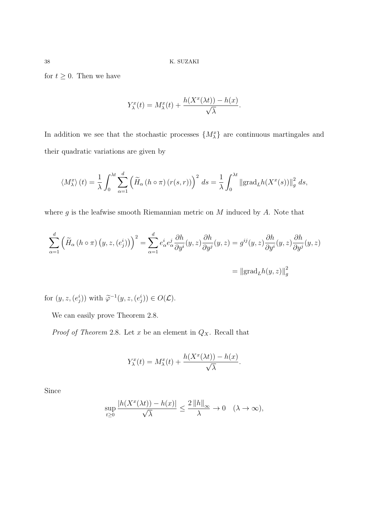for  $t \geq 0$ . Then we have

$$
Y_{\lambda}^{x}(t) = M_{\lambda}^{x}(t) + \frac{h(X^{x}(\lambda t)) - h(x)}{\sqrt{\lambda}}.
$$

In addition we see that the stochastic processes  $\{M_{\lambda}^x\}$  are continuous martingales and their quadratic variations are given by

$$
\langle M_{\lambda}^{x} \rangle (t) = \frac{1}{\lambda} \int_{0}^{\lambda t} \sum_{\alpha=1}^{d} \left( \widetilde{H}_{\alpha} \left( h \circ \pi \right) \left( r(s,r) \right) \right)^{2} ds = \frac{1}{\lambda} \int_{0}^{\lambda t} \left\| \operatorname{grad}_{L} h(X^{x}(s)) \right\|_{g}^{2} ds,
$$

where *g* is the leafwise smooth Riemannian metric on *M* induced by *A*. Note that

$$
\sum_{\alpha=1}^{d} \left( \widetilde{H}_{\alpha} \left( h \circ \pi \right) \left( y, z, (e_j^i) \right) \right)^2 = \sum_{\alpha=1}^{d} e_{\alpha}^i e_{\alpha}^j \frac{\partial h}{\partial y^i} (y, z) \frac{\partial h}{\partial y^j} (y, z) = g^{ij} (y, z) \frac{\partial h}{\partial y^i} (y, z) \frac{\partial h}{\partial y^j} (y, z)
$$

$$
= || \text{grad}_L h(y, z) ||_g^2
$$

for  $(y, z, (e_j^i))$  with  $\tilde{\varphi}^{-1}(y, z, (e_j^i)) \in O(\mathcal{L})$ .

We can easily prove Theorem 2*.*8.

*Proof of Theorem* 2*.*8. Let *x* be an element in *QX*. Recall that

$$
Y_{\lambda}^{x}(t) = M_{\lambda}^{x}(t) + \frac{h(X^{x}(\lambda t)) - h(x)}{\sqrt{\lambda}}.
$$

Since

$$
\sup_{t\geq 0} \frac{|h(X^x(\lambda t))-h(x)|}{\sqrt\lambda}\leq \frac{2\|h\|_\infty}{\lambda}\to 0 \quad (\lambda\to\infty),
$$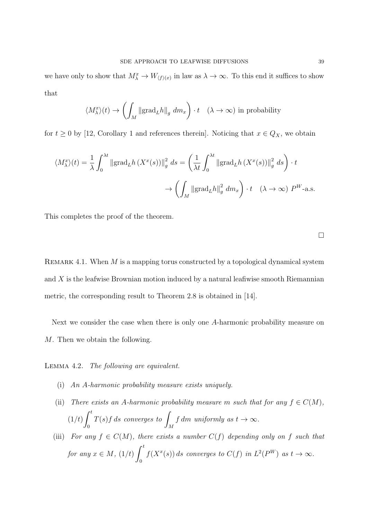we have only to show that  $M^x_\lambda \to W_{(f)(x)}$  in law as  $\lambda \to \infty$ . To this end it suffices to show that

$$
\langle M_{\lambda}^{x}\rangle(t) \to \left(\int_{M} \left\| \operatorname{grad}_{L} h \right\|_{g} dm_{x}\right) \cdot t \quad (\lambda \to \infty) \text{ in probability}
$$

for  $t \geq 0$  by [12, Corollary 1 and references therein]. Noticing that  $x \in Q_X$ , we obtain

$$
\langle M_{\lambda}^{x} \rangle(t) = \frac{1}{\lambda} \int_{0}^{\lambda t} ||\text{grad}_{L} h(X^{x}(s))||_{g}^{2} ds = \left(\frac{1}{\lambda t} \int_{0}^{\lambda t} ||\text{grad}_{L} h(X^{x}(s))||_{g}^{2} ds\right) \cdot t
$$

$$
\rightarrow \left(\int_{M} ||\text{grad}_{L} h||_{g}^{2} dm_{x}\right) \cdot t \quad (\lambda \rightarrow \infty) \ P^{W}\text{-a.s.}
$$

This completes the proof of the theorem.

□

REMARK 4.1. When *M* is a mapping torus constructed by a topological dynamical system and *X* is the leafwise Brownian motion induced by a natural leafiwise smooth Riemannian metric, the corresponding result to Theorem 2*.*8 is obtained in [14].

Next we consider the case when there is only one *A*-harmonic probability measure on *M*. Then we obtain the following.

Lemma 4.2. *The following are equivalent.*

- (i) *An A-harmonic probability measure exists uniquely.*
- (ii) *There exists an A-harmonic probability measure <i>m such that for any*  $f \in C(M)$ *,* (1*/t*)  $\int_0^t$ 0 *<sup>T</sup>*(*s*)*f ds converges to* <sup>∫</sup> *M f dm uniformly as*  $t \to \infty$ *.*
- (iii) *For any*  $f \in C(M)$ *, there exists a number*  $C(f)$  *depending only on*  $f$  *such that for any*  $x \in M$ *,*  $(1/t)$  $\int_0^t$ 0  $f(X^x(s))$  *ds* converges to  $C(f)$  in  $L^2(P^W)$  as  $t \to \infty$ .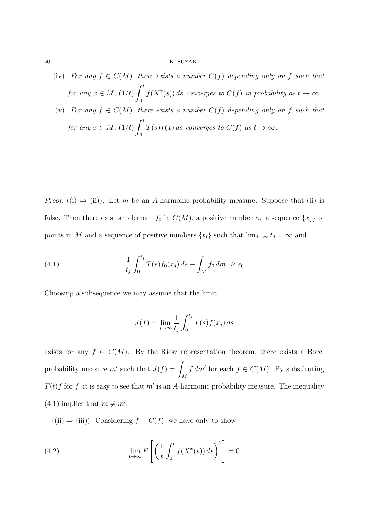40 K. SUZAKI

- (iv) *For any*  $f \in C(M)$ *, there exists a number*  $C(f)$  *depending only on*  $f$  *such that for any*  $x \in M$ *,*  $(1/t)$  $\int_0^t$ 0  $f(X^x(s))$  *ds* converges to  $C(f)$  *in probability as*  $t \to \infty$ *.*
- (v) *For any*  $f \in C(M)$ *, there exists a number*  $C(f)$  *depending only on*  $f$  *such that for any*  $x \in M$ *,*  $(1/t)$  $\int_0^t$ 0  $T(s)f(x)$  *ds* converges to  $C(f)$  as  $t \to \infty$ .

*Proof.* ((i)  $\Rightarrow$  (ii)). Let *m* be an *A*-harmonic probability measure. Suppose that (ii) is false. Then there exist an element  $f_0$  in  $C(M)$ , a positive number  $\epsilon_0$ , a sequence  $\{x_j\}$  of points in *M* and a sequence of positive numbers  $\{t_j\}$  such that  $\lim_{j\to\infty} t_j = \infty$  and

(4.1) 
$$
\left|\frac{1}{t_j}\int_0^{t_j}T(s)f_0(x_j)\,ds-\int_Mf_0\,dm\right|\geq\epsilon_0.
$$

Choosing a subsequence we may assume that the limit

$$
J(f) = \lim_{j \to \infty} \frac{1}{t_j} \int_0^{t_j} T(s) f(x_j) ds
$$

exists for any  $f \in C(M)$ . By the Riesz representation theorem, there exists a Borel probability measure  $m'$  such that  $J(f) = \int$ *M f*  $dm'$  for each  $f \in C(M)$ . By substituting  $T(t)$ *f* for *f*, it is easy to see that *m'* is an *A*-harmonic probability measure. The inequality  $(4.1)$  implies that  $m \neq m'$ .

((ii)  $\Rightarrow$  (iii)). Considering  $f - C(f)$ , we have only to show

(4.2) 
$$
\lim_{t \to \infty} E\left[ \left( \frac{1}{t} \int_0^t f(X^x(s)) ds \right)^2 \right] = 0
$$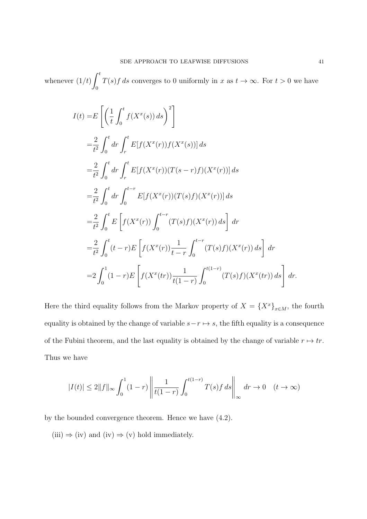whenever (1*/t*)  $\int_0^t$  $\boldsymbol{0}$ *T*(*s*)*f* ds converges to 0 uniformly in *x* as  $t \to \infty$ . For  $t > 0$  we have

$$
I(t) = E\left[\left(\frac{1}{t}\int_{0}^{t}f(X^{x}(s))ds\right)^{2}\right]
$$
  
\n
$$
= \frac{2}{t^{2}}\int_{0}^{t}dr\int_{r}^{t}E[f(X^{x}(r))f(X^{x}(s))]ds
$$
  
\n
$$
= \frac{2}{t^{2}}\int_{0}^{t}dr\int_{r}^{t}E[f(X^{x}(r))(T(s-r)f)(X^{x}(r))]ds
$$
  
\n
$$
= \frac{2}{t^{2}}\int_{0}^{t}dr\int_{0}^{t-r}E[f(X^{x}(r))(T(s)f)(X^{x}(r))]ds
$$
  
\n
$$
= \frac{2}{t^{2}}\int_{0}^{t}E\left[f(X^{x}(r))\int_{0}^{t-r}(T(s)f)(X^{x}(r))ds\right]dr
$$
  
\n
$$
= \frac{2}{t^{2}}\int_{0}^{t}(t-r)E\left[f(X^{x}(r))\frac{1}{t-r}\int_{0}^{t-r}(T(s)f)(X^{x}(r))ds\right]dr
$$
  
\n
$$
= 2\int_{0}^{1}(1-r)E\left[f(X^{x}(tr))\frac{1}{t(1-r)}\int_{0}^{t(1-r)}(T(s)f)(X^{x}(tr))ds\right]dr
$$

Here the third equality follows from the Markov property of  $X = \{X^x\}_{x \in M}$ , the fourth equality is obtained by the change of variable  $s - r \mapsto s$ , the fifth equality is a consequence of the Fubini theorem, and the last equality is obtained by the change of variable  $r \mapsto tr$ . Thus we have

$$
|I(t)| \le 2||f||_{\infty} \int_0^1 (1-r) \left\| \frac{1}{t(1-r)} \int_0^{t(1-r)} T(s)f \, ds \right\|_{\infty} dr \to 0 \quad (t \to \infty)
$$

by the bounded convergence theorem. Hence we have (4*.*2).

 $(iii) \Rightarrow (iv)$  and  $(iv) \Rightarrow (v)$  hold immediately.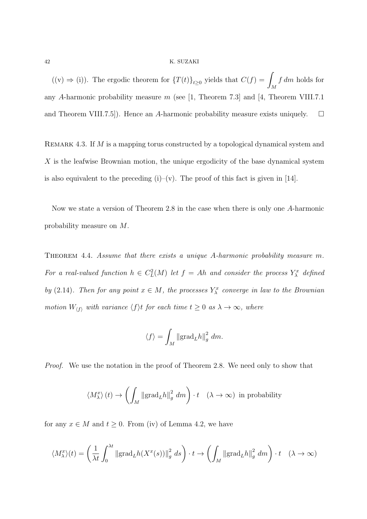#### 42 K. SUZAKI

 $((v) ⇒ (i)).$  The ergodic theorem for  ${T(t)}_{t≥0}$  yields that  $C(f) = ∫$ *M f dm* holds for any *A*-harmonic probability measure *m* (see [1, Theorem 7*.*3] and [4, Theorem VIII.7*.*1 and Theorem VIII.7.5]). Hence an *A*-harmonic probability measure exists uniquely.  $\square$ 

REMARK 4.3. If *M* is a mapping torus constructed by a topological dynamical system and *X* is the leafwise Brownian motion, the unique ergodicity of the base dynamical system is also equivalent to the preceding  $(i)$ – $(v)$ . The proof of this fact is given in [14].

Now we state a version of Theorem 2*.*8 in the case when there is only one *A*-harmonic probability measure on *M*.

Theorem 4.4. *Assume that there exists a unique A-harmonic probability measure m. For a real-valued function*  $h \in C^2_L(M)$  *let*  $f = Ah$  *and consider the process*  $Y^x_\lambda$  *defined by* (2.14)*. Then for any point*  $x \in M$ *, the processes*  $Y_{\lambda}^x$  *converge in law to the Brownian motion*  $W_{\langle f \rangle}$  *with variance*  $\langle f \rangle t$  *for each time*  $t \geq 0$  *as*  $\lambda \to \infty$ *, where* 

$$
\langle f \rangle = \int_M \|\text{grad}_L h\|_g^2 dm.
$$

*Proof.* We use the notation in the proof of Theorem 2.8. We need only to show that

$$
\langle M_\lambda^x \rangle(t) \to \left( \int_M \left\| \text{grad}_L h \right\|_g^2 dm \right) \cdot t \quad (\lambda \to \infty) \text{ in probability}
$$

for any  $x \in M$  and  $t \geq 0$ . From (iv) of Lemma 4.2, we have

$$
\langle M_{\lambda}^{x} \rangle(t) = \left(\frac{1}{\lambda t} \int_{0}^{\lambda t} ||\text{grad}_{L} h(X^{x}(s))||_{g}^{2} ds\right) \cdot t \to \left(\int_{M} ||\text{grad}_{L} h||_{g}^{2} dm\right) \cdot t \quad (\lambda \to \infty)
$$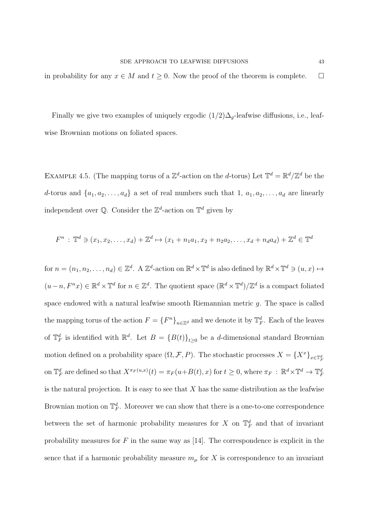in probability for any  $x \in M$  and  $t \geq 0$ . Now the proof of the theorem is complete.  $\Box$ 

Finally we give two examples of uniquely ergodic  $(1/2)\Delta_g$ -leafwise diffusions, i.e., leafwise Brownian motions on foliated spaces.

EXAMPLE 4.5. (The mapping torus of a  $\mathbb{Z}^d$ -action on the *d*-torus) Let  $\mathbb{T}^d = \mathbb{R}^d / \mathbb{Z}^d$  be the *d*-torus and  $\{a_1, a_2, \ldots, a_d\}$  a set of real numbers such that 1,  $a_1, a_2, \ldots, a_d$  are linearly independent over  $\mathbb{Q}$ . Consider the  $\mathbb{Z}^d$ -action on  $\mathbb{T}^d$  given by

$$
F^{n} : \mathbb{T}^{d} \ni (x_{1}, x_{2}, \dots, x_{d}) + \mathbb{Z}^{d} \mapsto (x_{1} + n_{1}a_{1}, x_{2} + n_{2}a_{2}, \dots, x_{d} + n_{d}a_{d}) + \mathbb{Z}^{d} \in \mathbb{T}^{d}
$$

for  $n = (n_1, n_2, \ldots, n_d) \in \mathbb{Z}^d$ . A  $\mathbb{Z}^d$ -action on  $\mathbb{R}^d \times \mathbb{T}^d$  is also defined by  $\mathbb{R}^d \times \mathbb{T}^d \ni (u, x) \mapsto$  $(u-n, F^n x) \in \mathbb{R}^d \times \mathbb{T}^d$  for  $n \in \mathbb{Z}^d$ . The quotient space  $(\mathbb{R}^d \times \mathbb{T}^d)/\mathbb{Z}^d$  is a compact foliated space endowed with a natural leafwise smooth Riemannian metric *g*. The space is called the mapping torus of the action  $F = \{F^n\}_{n \in \mathbb{Z}^d}$  and we denote it by  $\mathbb{T}^d_F$ . Each of the leaves of  $\mathbb{T}_F^d$  is identified with  $\mathbb{R}^d$ . Let  $B = \{B(t)\}_{t \geq 0}$  be a *d*-dimensional standard Brownian motion defined on a probability space  $(\Omega, \mathcal{F}, P)$ . The stochastic processes  $X = \{X^x\}_{x \in \mathbb{T}_F^d}$ on  $\mathbb{T}_F^d$  are defined so that  $X^{\pi_F(u,x)}(t) = \pi_F(u+B(t),x)$  for  $t \geq 0$ , where  $\pi_F : \mathbb{R}^d \times \mathbb{T}^d \to \mathbb{T}_F^d$ is the natural projection. It is easy to see that *X* has the same distribution as the leafwise Brownian motion on  $\mathbb{T}_F^d$ . Moreover we can show that there is a one-to-one correspondence between the set of harmonic probability measures for *X* on  $\mathbb{T}_F^d$  and that of invariant probability measures for *F* in the same way as [14]. The correspondence is explicit in the sence that if a harmonic probability measure  $m<sub>\mu</sub>$  for X is correspondence to an invariant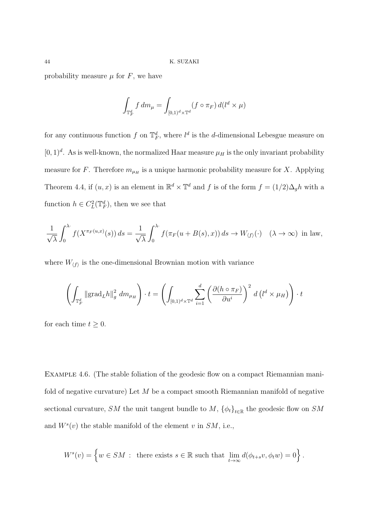probability measure  $\mu$  for  $F$ , we have

$$
\int_{\mathbb{T}_F^d} f \, dm_\mu = \int_{[0,1)^d \times \mathbb{T}^d} (f \circ \pi_F) \, d(l^d \times \mu)
$$

for any continuous function  $f$  on  $\mathbb{T}_F^d$ , where  $l^d$  is the *d*-dimensional Lebesgue measure on  $[0,1)<sup>d</sup>$ . As is well-known, the normalized Haar measure  $\mu_H$  is the only invariant probability measure for *F*. Therefore  $m_{\mu_H}$  is a unique harmonic probability measure for *X*. Applying Theorem 4.4, if  $(u, x)$  is an element in  $\mathbb{R}^d \times \mathbb{T}^d$  and f is of the form  $f = (1/2)\Delta_g h$  with a function  $h \in C^2_L(\mathbb{T}_F^d)$ , then we see that

$$
\frac{1}{\sqrt{\lambda}} \int_0^{\lambda} f(X^{\pi_F(u,x)}(s)) ds = \frac{1}{\sqrt{\lambda}} \int_0^{\lambda} f(\pi_F(u + B(s), x)) ds \to W_{\langle f \rangle}(\cdot) \quad (\lambda \to \infty) \text{ in law},
$$

where  $W_{\langle f \rangle}$  is the one-dimensional Brownian motion with variance

$$
\left(\int_{\mathbb{T}_F^d} \left\|\mathrm{grad}_L h\right\|_g^2 dm_{\mu_H}\right) \cdot t = \left(\int_{[0,1)^d \times \mathbb{T}^d} \sum_{i=1}^d \left(\frac{\partial (h \circ \pi_F)}{\partial u^i}\right)^2 d\left(l^d \times \mu_H\right)\right) \cdot t
$$

for each time  $t \geq 0$ .

EXAMPLE 4.6. (The stable foliation of the geodesic flow on a compact Riemannian manifold of negative curvature) Let *M* be a compact smooth Riemannian manifold of negative sectional curvature, *SM* the unit tangent bundle to  $M$ ,  $\{\phi_t\}_{t \in \mathbb{R}}$  the geodesic flow on *SM* and  $W^s(v)$  the stable manifold of the element *v* in  $SM$ , i.e.,

$$
W^{s}(v) = \left\{ w \in SM \; : \; \text{ there exists } s \in \mathbb{R} \text{ such that } \lim_{t \to \infty} d(\phi_{t+s}v, \phi_t w) = 0 \right\}.
$$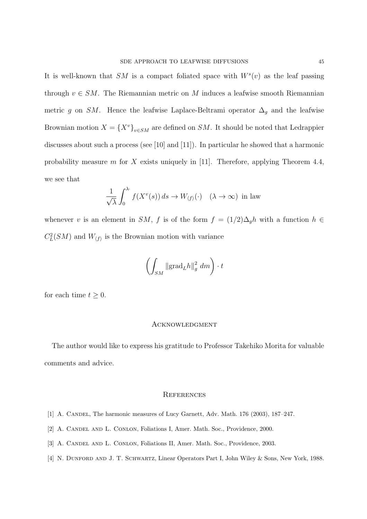It is well-known that  $SM$  is a compact foliated space with  $W^s(v)$  as the leaf passing through  $v \in SM$ . The Riemannian metric on *M* induces a leafwise smooth Riemannian metric *g* on *SM*. Hence the leafwise Laplace-Beltrami operator  $\Delta_g$  and the leafwise Brownian motion  $X = \{X^v\}_{v \in SM}$  are defined on *SM*. It should be noted that Ledrappier discusses about such a process (see [10] and [11]). In particular he showed that a harmonic probability measure *m* for *X* exists uniquely in [11]. Therefore, applying Theorem 4*.*4, we see that

$$
\frac{1}{\sqrt{\lambda}} \int_0^{\lambda} f(X^v(s)) ds \to W_{\langle f \rangle}(\cdot) \quad (\lambda \to \infty) \text{ in law}
$$

whenever *v* is an element in *SM*, *f* is of the form  $f = (1/2)\Delta_g h$  with a function  $h \in$  $C_L^2(SM)$  and  $W_{\langle f \rangle}$  is the Brownian motion with variance

$$
\left(\int_{SM}\left\|\mathrm{grad}_{L}h\right\|_{g}^{2}\,dm\right)\cdot t
$$

for each time  $t \geq 0$ .

## **ACKNOWLEDGMENT**

The author would like to express his gratitude to Professor Takehiko Morita for valuable comments and advice.

## **REFERENCES**

- [1] A. CANDEL, The harmonic measures of Lucy Garnett, Adv. Math. 176 (2003), 187-247.
- [2] A. CANDEL AND L. CONLON, Foliations I, Amer. Math. Soc., Providence, 2000.
- [3] A. Candel and L. Conlon, Foliations II, Amer. Math. Soc., Providence, 2003.
- [4] N. Dunford and J. T. Schwartz, Linear Operators Part I, John Wiley & Sons, New York, 1988.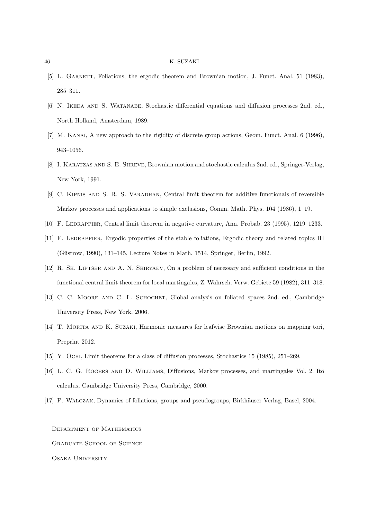#### 46 K. SUZAKI

- [5] L. GARNETT, Foliations, the ergodic theorem and Brownian motion, J. Funct. Anal. 51 (1983), 285–311.
- [6] N. Ikeda and S. Watanabe, Stochastic differential equations and diffusion processes 2nd. ed., North Holland, Amsterdam, 1989.
- [7] M. Kanai, A new approach to the rigidity of discrete group actions, Geom. Funct. Anal. 6 (1996), 943–1056.
- [8] I. KARATZAS AND S. E. SHREVE, Brownian motion and stochastic calculus 2nd. ed., Springer-Verlag, New York, 1991.
- [9] C. Kipnis and S. R. S. Varadhan, Central limit theorem for additive functionals of reversible Markov processes and applications to simple exclusions, Comm. Math. Phys. 104 (1986), 1–19.
- [10] F. Ledrappier, Central limit theorem in negative curvature, Ann. Probab. 23 (1995), 1219–1233.
- [11] F. LEDRAPPIER, Ergodic properties of the stable foliations, Ergodic theory and related topics III (Güstrow, 1990), 131–145, Lecture Notes in Math. 1514, Springer, Berlin, 1992.
- [12] R. Sh. Liptser and A. N. Shiryaev, On a problem of necessary and sufficient conditions in the functional central limit theorem for local martingales, Z. Wahrsch. Verw. Gebiete 59 (1982), 311–318.
- [13] C. C. Moore and C. L. Schochet, Global analysis on foliated spaces 2nd. ed., Cambridge University Press, New York, 2006.
- [14] T. Morita and K. Suzaki, Harmonic measures for leafwise Brownian motions on mapping tori, Preprint 2012.
- [15] Y. Ochi, Limit theorems for a class of diffusion processes, Stochastics 15 (1985), 251–269.
- [16] L. C. G. ROGERS AND D. WILLIAMS, Diffusions, Markov processes, and martingales Vol. 2. Itô calculus, Cambridge University Press, Cambridge, 2000.
- [17] P. WALCZAK, Dynamics of foliations, groups and pseudogroups, Birkhäuser Verlag, Basel, 2004.

Department of Mathematics Graduate School of Science Osaka University